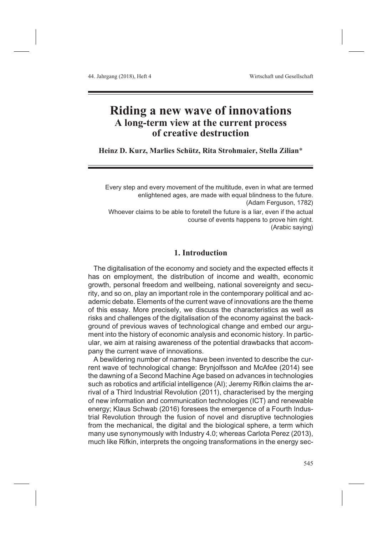# **Riding a new wave of innovations A long-term view at the current process of creative destruction**

**Heinz D. Kurz, Marlies Schütz, Rita Strohmaier, Stella Zilian**\*

Every step and every movement of the multitude, even in what are termed enlightened ages, are made with equal blindness to the future. (Adam Ferguson, 1782) Whoever claims to be able to foretell the future is a liar, even if the actual course of events happens to prove him right. (Arabic saying)

# **1. Introduction**

The digitalisation of the economy and society and the expected effects it has on employment, the distribution of income and wealth, economic growth, personal freedom and wellbeing, national sovereignty and security, and so on, play an important role in the contemporary political and academic debate. Elements of the current wave of innovations are the theme of this essay. More precisely, we discuss the characteristics as well as risks and challenges of the digitalisation of the economy against the background of previous waves of technological change and embed our argument into the history of economic analysis and economic history. In particular, we aim at raising awareness of the potential drawbacks that accompany the current wave of innovations.

A bewildering number of names have been invented to describe the current wave of technological change: Brynjolfsson and McAfee (2014) see the dawning of a Second Machine Age based on advances in technologies such as robotics and artificial intelligence (AI); Jeremy Rifkin claims the arrival of a Third Industrial Revolution (2011), characterised by the merging of new information and communication technologies (ICT) and renewable energy; Klaus Schwab (2016) foresees the emergence of a Fourth Industrial Revolution through the fusion of novel and disruptive technologies from the mechanical, the digital and the biological sphere, a term which many use synonymously with Industry 4.0; whereas Carlota Perez (2013), much like Rifkin, interprets the ongoing transformations in the energy sec-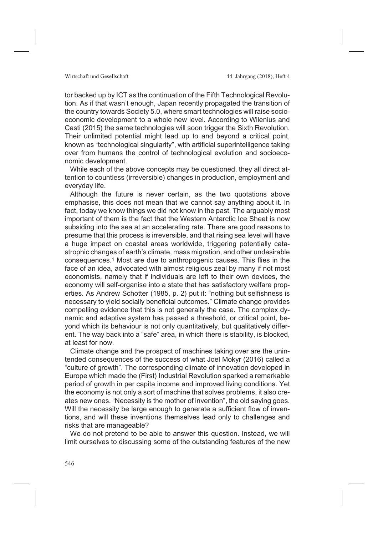tor backed up by ICT as the continuation of the Fifth Technological Revolution. As if that wasn't enough, Japan recently propagated the transition of the country towards Society 5.0, where smart technologies will raise socioeconomic development to a whole new level. According to Wilenius and Casti (2015) the same technologies will soon trigger the Sixth Revolution. Their unlimited potential might lead up to and beyond a critical point, known as "technological singularity", with artificial superintelligence taking over from humans the control of technological evolution and socioeconomic development.

While each of the above concepts may be questioned, they all direct attention to countless (irreversible) changes in production, employment and everyday life.

Although the future is never certain, as the two quotations above emphasise, this does not mean that we cannot say anything about it. In fact, today we know things we did not know in the past. The arguably most important of them is the fact that the Western Antarctic Ice Sheet is now subsiding into the sea at an accelerating rate. There are good reasons to presume that this process is irreversible, and that rising sea level will have a huge impact on coastal areas worldwide, triggering potentially catastrophic changes of earth's climate, mass migration, and other undesirable consequences.1 Most are due to anthropogenic causes. This flies in the face of an idea, advocated with almost religious zeal by many if not most economists, namely that if individuals are left to their own devices, the economy will self-organise into a state that has satisfactory welfare properties. As Andrew Schotter (1985, p. 2) put it: "nothing but selfishness is necessary to yield socially beneficial outcomes." Climate change provides compelling evidence that this is not generally the case. The complex dynamic and adaptive system has passed a threshold, or critical point, beyond which its behaviour is not only quantitatively, but qualitatively different. The way back into a "safe" area, in which there is stability, is blocked, at least for now.

Climate change and the prospect of machines taking over are the unintended consequences of the success of what Joel Mokyr (2016) called a "culture of growth". The corresponding climate of innovation developed in Europe which made the (First) Industrial Revolution sparked a remarkable period of growth in per capita income and improved living conditions. Yet the economy is not only a sort of machine that solves problems, it also creates new ones. "Necessity is the mother of invention", the old saying goes. Will the necessity be large enough to generate a sufficient flow of inventions, and will these inventions themselves lead only to challenges and risks that are manageable?

We do not pretend to be able to answer this question. Instead, we will limit ourselves to discussing some of the outstanding features of the new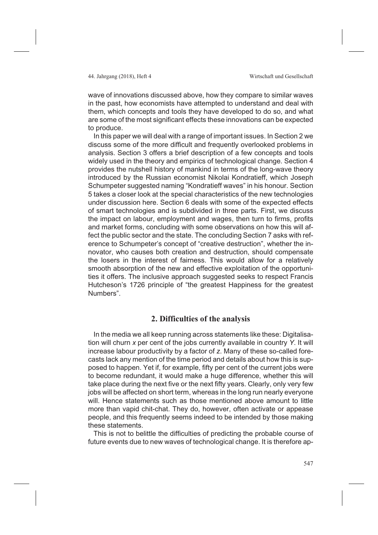wave of innovations discussed above, how they compare to similar waves in the past, how economists have attempted to understand and deal with them, which concepts and tools they have developed to do so, and what are some of the most significant effects these innovations can be expected to produce.

In this paper we will deal with a range of important issues. In Section 2 we discuss some of the more difficult and frequently overlooked problems in analysis. Section 3 offers a brief description of a few concepts and tools widely used in the theory and empirics of technological change. Section 4 provides the nutshell history of mankind in terms of the long-wave theory introduced by the Russian economist Nikolai Kondratieff, which Joseph Schumpeter suggested naming "Kondratieff waves" in his honour. Section 5 takes a closer look at the special characteristics of the new technologies under discussion here. Section 6 deals with some of the expected effects of smart technologies and is subdivided in three parts. First, we discuss the impact on labour, employment and wages, then turn to firms, profits and market forms, concluding with some observations on how this will affect the public sector and the state. The concluding Section 7 asks with reference to Schumpeter's concept of "creative destruction", whether the innovator, who causes both creation and destruction, should compensate the losers in the interest of fairness. This would allow for a relatively smooth absorption of the new and effective exploitation of the opportunities it offers. The inclusive approach suggested seeks to respect Francis Hutcheson's 1726 principle of "the greatest Happiness for the greatest Numbers".

# **2. Difficulties of the analysis**

In the media we all keep running across statements like these: Digitalisation will churn *x* per cent of the jobs currently available in country *Y*. It will increase labour productivity by a factor of *z*. Many of these so-called forecasts lack any mention of the time period and details about how this is supposed to happen. Yet if, for example, fifty per cent of the current jobs were to become redundant, it would make a huge difference, whether this will take place during the next five or the next fifty years. Clearly, only very few jobs will be affected on short term, whereas in the long run nearly everyone will. Hence statements such as those mentioned above amount to little more than vapid chit-chat. They do, however, often activate or appease people, and this frequently seems indeed to be intended by those making these statements.

This is not to belittle the difficulties of predicting the probable course of future events due to new waves of technological change. It is therefore ap-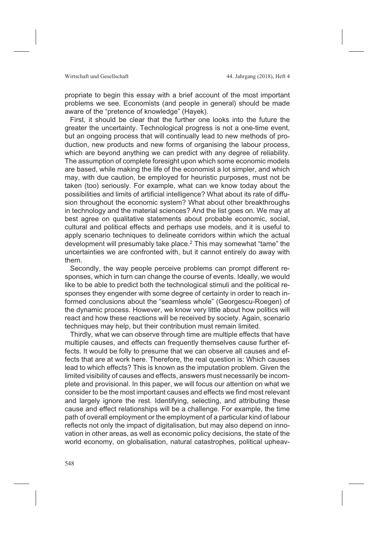propriate to begin this essay with a brief account of the most important problems we see. Economists (and people in general) should be made aware of the "pretence of knowledge" (Hayek).

First, it should be clear that the further one looks into the future the greater the uncertainty. Technological progress is not a one-time event, but an ongoing process that will continually lead to new methods of production, new products and new forms of organising the labour process, which are beyond anything we can predict with any degree of reliability. The assumption of complete foresight upon which some economic models are based, while making the life of the economist a lot simpler, and which may, with due caution, be employed for heuristic purposes, must not be taken (too) seriously. For example, what can we know today about the possibilities and limits of artificial intelligence? What about its rate of diffusion throughout the economic system? What about other breakthroughs in technology and the material sciences? And the list goes on. We may at best agree on qualitative statements about probable economic, social, cultural and political effects and perhaps use models, and it is useful to apply scenario techniques to delineate corridors within which the actual development will presumably take place.2 This may somewhat "tame" the uncertainties we are confronted with, but it cannot entirely do away with them.

Secondly, the way people perceive problems can prompt different responses, which in turn can change the course of events. Ideally, we would like to be able to predict both the technological stimuli and the political responses they engender with some degree of certainty in order to reach informed conclusions about the "seamless whole" (Georgescu-Roegen) of the dynamic process. However, we know very little about how politics will react and how these reactions will be received by society. Again, scenario techniques may help, but their contribution must remain limited.

Thirdly, what we can observe through time are multiple effects that have multiple causes, and effects can frequently themselves cause further effects. It would be folly to presume that we can observe all causes and effects that are at work here. Therefore, the real question is: Which causes lead to which effects? This is known as the imputation problem. Given the limited visibility of causes and effects, answers must necessarily be incomplete and provisional. In this paper, we will focus our attention on what we consider to be the most important causes and effects we find most relevant and largely ignore the rest. Identifying, selecting, and attributing these cause and effect relationships will be a challenge. For example, the time path of overall employment or the employment of a particular kind of labour reflects not only the impact of digitalisation, but may also depend on innovation in other areas, as well as economic policy decisions, the state of the world economy, on globalisation, natural catastrophes, political upheav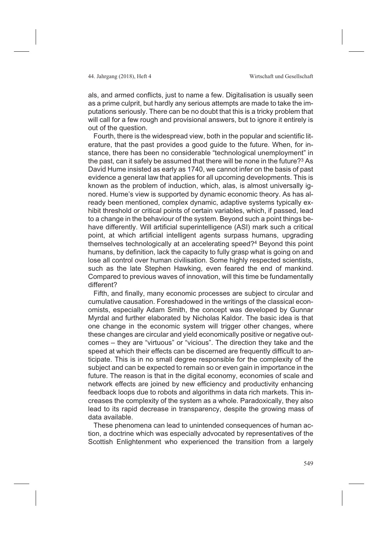als, and armed conflicts, just to name a few. Digitalisation is usually seen as a prime culprit, but hardly any serious attempts are made to take the imputations seriously. There can be no doubt that this is a tricky problem that will call for a few rough and provisional answers, but to ignore it entirely is out of the question.

Fourth, there is the widespread view, both in the popular and scientific literature, that the past provides a good guide to the future. When, for instance, there has been no considerable "technological unemployment" in the past, can it safely be assumed that there will be none in the future?3 As David Hume insisted as early as 1740, we cannot infer on the basis of past evidence a general law that applies for all upcoming developments. This is known as the problem of induction, which, alas, is almost universally ignored. Hume's view is supported by dynamic economic theory. As has already been mentioned, complex dynamic, adaptive systems typically exhibit threshold or critical points of certain variables, which, if passed, lead to a change in the behaviour of the system. Beyond such a point things behave differently. Will artificial superintelligence (ASI) mark such a critical point, at which artificial intelligent agents surpass humans, upgrading themselves technologically at an accelerating speed?4 Beyond this point humans, by definition, lack the capacity to fully grasp what is going on and lose all control over human civilisation. Some highly respected scientists, such as the late Stephen Hawking, even feared the end of mankind. Compared to previous waves of innovation, will this time be fundamentally different?

Fifth, and finally, many economic processes are subject to circular and cumulative causation. Foreshadowed in the writings of the classical economists, especially Adam Smith, the concept was developed by Gunnar Myrdal and further elaborated by Nicholas Kaldor. The basic idea is that one change in the economic system will trigger other changes, where these changes are circular and yield economically positive or negative outcomes – they are "virtuous" or "vicious". The direction they take and the speed at which their effects can be discerned are frequently difficult to anticipate. This is in no small degree responsible for the complexity of the subject and can be expected to remain so or even gain in importance in the future. The reason is that in the digital economy, economies of scale and network effects are joined by new efficiency and productivity enhancing feedback loops due to robots and algorithms in data rich markets. This increases the complexity of the system as a whole. Paradoxically, they also lead to its rapid decrease in transparency, despite the growing mass of data available.

These phenomena can lead to unintended consequences of human action, a doctrine which was especially advocated by representatives of the Scottish Enlightenment who experienced the transition from a largely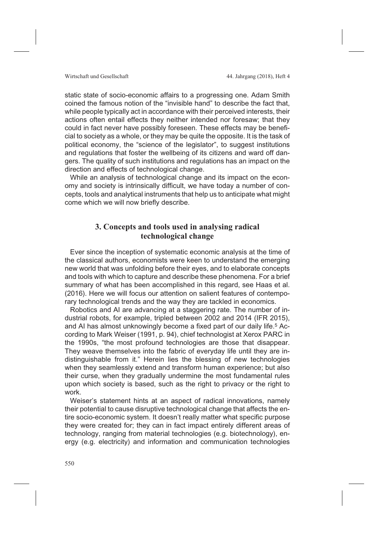static state of socio-economic affairs to a progressing one. Adam Smith coined the famous notion of the "invisible hand" to describe the fact that, while people typically act in accordance with their perceived interests, their actions often entail effects they neither intended nor foresaw; that they could in fact never have possibly foreseen. These effects may be beneficial to society as a whole, or they may be quite the opposite. It is the task of political economy, the "science of the legislator", to suggest institutions and regulations that foster the wellbeing of its citizens and ward off dangers. The quality of such institutions and regulations has an impact on the direction and effects of technological change.

While an analysis of technological change and its impact on the economy and society is intrinsically difficult, we have today a number of concepts, tools and analytical instruments that help us to anticipate what might come which we will now briefly describe.

# **3. Concepts and tools used in analysing radical technological change**

Ever since the inception of systematic economic analysis at the time of the classical authors, economists were keen to understand the emerging new world that was unfolding before their eyes, and to elaborate concepts and tools with which to capture and describe these phenomena. For a brief summary of what has been accomplished in this regard, see Haas et al. (2016). Here we will focus our attention on salient features of contemporary technological trends and the way they are tackled in economics.

Robotics and AI are advancing at a staggering rate. The number of industrial robots, for example, tripled between 2002 and 2014 (IFR 2015), and AI has almost unknowingly become a fixed part of our daily life.<sup>5</sup> According to Mark Weiser (1991, p. 94), chief technologist at Xerox PARC in the 1990s, "the most profound technologies are those that disappear. They weave themselves into the fabric of everyday life until they are indistinguishable from it." Herein lies the blessing of new technologies when they seamlessly extend and transform human experience; but also their curse, when they gradually undermine the most fundamental rules upon which society is based, such as the right to privacy or the right to work.

Weiser's statement hints at an aspect of radical innovations, namely their potential to cause disruptive technological change that affects the entire socio-economic system. It doesn't really matter what specific purpose they were created for; they can in fact impact entirely different areas of technology, ranging from material technologies (e.g. biotechnology), energy (e.g. electricity) and information and communication technologies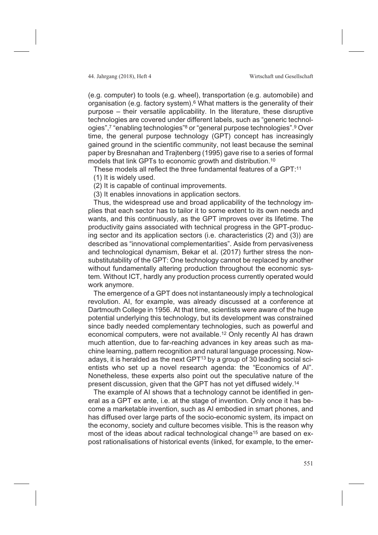(e.g. computer) to tools (e.g. wheel), transportation (e.g. automobile) and organisation (e.g. factory system).6 What matters is the generality of their purpose – their versatile applicability. In the literature, these disruptive technologies are covered under different labels, such as "generic technologies",7 "enabling technologies"8 or "general purpose technologies".9 Over time, the general purpose technology (GPT) concept has increasingly gained ground in the scientific community, not least because the seminal paper by Bresnahan and Trajtenberg (1995) gave rise to a series of formal models that link GPTs to economic growth and distribution.10

These models all reflect the three fundamental features of a GPT:11

(1) It is widely used.

(2) It is capable of continual improvements.

(3) It enables innovations in application sectors.

Thus, the widespread use and broad applicability of the technology implies that each sector has to tailor it to some extent to its own needs and wants, and this continuously, as the GPT improves over its lifetime. The productivity gains associated with technical progress in the GPT-producing sector and its application sectors (i.e. characteristics (2) and (3)) are described as "innovational complementarities". Aside from pervasiveness and technological dynamism, Bekar et al. (2017) further stress the nonsubstitutability of the GPT: One technology cannot be replaced by another without fundamentally altering production throughout the economic system. Without ICT, hardly any production process currently operated would work anymore.

The emergence of a GPT does not instantaneously imply a technological revolution. AI, for example, was already discussed at a conference at Dartmouth College in 1956. At that time, scientists were aware of the huge potential underlying this technology, but its development was constrained since badly needed complementary technologies, such as powerful and economical computers, were not available.12 Only recently AI has drawn much attention, due to far-reaching advances in key areas such as machine learning, pattern recognition and natural language processing. Nowadays, it is heralded as the next GPT $13$  by a group of 30 leading social scientists who set up a novel research agenda: the "Economics of AI". Nonetheless, these experts also point out the speculative nature of the present discussion, given that the GPT has not yet diffused widely.14

The example of AI shows that a technology cannot be identified in general as a GPT ex ante, i.e. at the stage of invention. Only once it has become a marketable invention, such as AI embodied in smart phones, and has diffused over large parts of the socio-economic system, its impact on the economy, society and culture becomes visible. This is the reason why most of the ideas about radical technological change<sup>15</sup> are based on expost rationalisations of historical events (linked, for example, to the emer-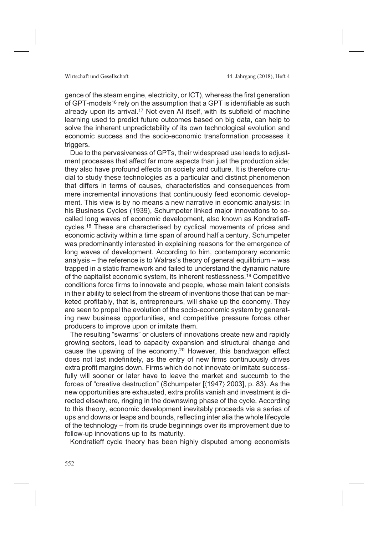gence of the steam engine, electricity, or ICT), whereas the first generation of GPT-models<sup>16</sup> rely on the assumption that a GPT is identifiable as such already upon its arrival.<sup>17</sup> Not even AI itself, with its subfield of machine learning used to predict future outcomes based on big data, can help to solve the inherent unpredictability of its own technological evolution and economic success and the socio-economic transformation processes it triggers.

Due to the pervasiveness of GPTs, their widespread use leads to adjustment processes that affect far more aspects than just the production side; they also have profound effects on society and culture. It is therefore crucial to study these technologies as a particular and distinct phenomenon that differs in terms of causes, characteristics and consequences from mere incremental innovations that continuously feed economic development. This view is by no means a new narrative in economic analysis: In his Business Cycles (1939), Schumpeter linked major innovations to socalled long waves of economic development, also known as Kondratieffcycles.18 These are characterised by cyclical movements of prices and economic activity within a time span of around half a century. Schumpeter was predominantly interested in explaining reasons for the emergence of long waves of development. According to him, contemporary economic analysis – the reference is to Walras's theory of general equilibrium – was trapped in a static framework and failed to understand the dynamic nature of the capitalist economic system, its inherent restlessness.19 Competitive conditions force firms to innovate and people, whose main talent consists in their ability to select from the stream of inventions those that can be marketed profitably, that is, entrepreneurs, will shake up the economy. They are seen to propel the evolution of the socio-economic system by generating new business opportunities, and competitive pressure forces other producers to improve upon or imitate them.

The resulting "swarms" or clusters of innovations create new and rapidly growing sectors, lead to capacity expansion and structural change and cause the upswing of the economy.20 However, this bandwagon effect does not last indefinitely, as the entry of new firms continuously drives extra profit margins down. Firms which do not innovate or imitate successfully will sooner or later have to leave the market and succumb to the forces of "creative destruction" (Schumpeter [〈1947〉 2003], p. 83). As the new opportunities are exhausted, extra profits vanish and investment is directed elsewhere, ringing in the downswing phase of the cycle. According to this theory, economic development inevitably proceeds via a series of ups and downs or leaps and bounds, reflecting inter alia the whole lifecycle of the technology – from its crude beginnings over its improvement due to follow-up innovations up to its maturity.

Kondratieff cycle theory has been highly disputed among economists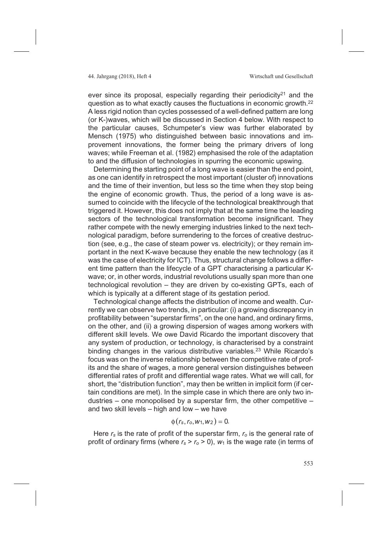ever since its proposal, especially regarding their periodicity<sup>21</sup> and the question as to what exactly causes the fluctuations in economic growth.22 A less rigid notion than cycles possessed of a well-defined pattern are long (or K-)waves, which will be discussed in Section 4 below. With respect to the particular causes, Schumpeter's view was further elaborated by Mensch (1975) who distinguished between basic innovations and improvement innovations, the former being the primary drivers of long waves; while Freeman et al. (1982) emphasised the role of the adaptation to and the diffusion of technologies in spurring the economic upswing.

Determining the starting point of a long wave is easier than the end point, as one can identify in retrospect the most important (cluster of) innovations and the time of their invention, but less so the time when they stop being the engine of economic growth. Thus, the period of a long wave is assumed to coincide with the lifecycle of the technological breakthrough that triggered it. However, this does not imply that at the same time the leading sectors of the technological transformation become insignificant. They rather compete with the newly emerging industries linked to the next technological paradigm, before surrendering to the forces of creative destruction (see, e.g., the case of steam power vs. electricity); or they remain important in the next K-wave because they enable the new technology (as it was the case of electricity for ICT). Thus, structural change follows a different time pattern than the lifecycle of a GPT characterising a particular Kwave; or, in other words, industrial revolutions usually span more than one technological revolution – they are driven by co-existing GPTs, each of which is typically at a different stage of its gestation period.

Technological change affects the distribution of income and wealth. Currently we can observe two trends, in particular: (i) a growing discrepancy in profitability between "superstar firms", on the one hand, and ordinary firms, on the other, and (ii) a growing dispersion of wages among workers with different skill levels. We owe David Ricardo the important discovery that any system of production, or technology, is characterised by a constraint binding changes in the various distributive variables.<sup>23</sup> While Ricardo's focus was on the inverse relationship between the competitive rate of profits and the share of wages, a more general version distinguishes between differential rates of profit and differential wage rates. What we will call, for short, the "distribution function", may then be written in implicit form (if certain conditions are met). In the simple case in which there are only two industries – one monopolised by a superstar firm, the other competitive – and two skill levels – high and low – we have

# $\phi(r_s, r_o, w_1, w_2) = 0.$

Here *rs* is the rate of profit of the superstar firm, *ro* is the general rate of profit of ordinary firms (where  $r_s > r_o > 0$ ),  $w_1$  is the wage rate (in terms of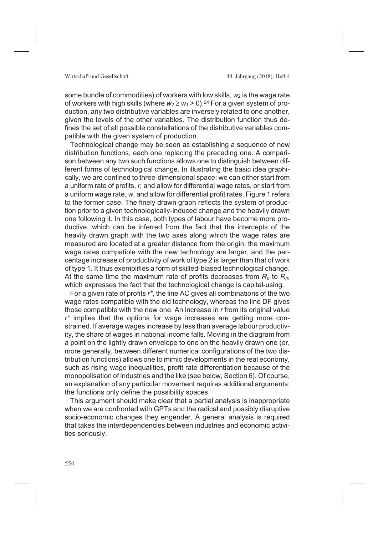some bundle of commodities) of workers with low skills,  $w_2$  is the wage rate of workers with high skills (where  $w_2 \geq w_1 > 0$ ).<sup>24</sup> For a given system of production, any two distributive variables are inversely related to one another, given the levels of the other variables. The distribution function thus defines the set of all possible constellations of the distributive variables compatible with the given system of production.

Technological change may be seen as establishing a sequence of new distribution functions, each one replacing the preceding one. A comparison between any two such functions allows one to distinguish between different forms of technological change. In illustrating the basic idea graphically, we are confined to three-dimensional space: we can either start from a uniform rate of profits, *r*, and allow for differential wage rates, or start from a uniform wage rate, *w*, and allow for differential profit rates. Figure 1 refers to the former case. The finely drawn graph reflects the system of production prior to a given technologically-induced change and the heavily drawn one following it. In this case, both types of labour have become more productive, which can be inferred from the fact that the intercepts of the heavily drawn graph with the two axes along which the wage rates are measured are located at a greater distance from the origin: the maximum wage rates compatible with the new technology are larger, and the percentage increase of productivity of work of type 2 is larger than that of work of type 1. It thus exemplifies a form of skilled-biased technological change. At the same time the maximum rate of profits decreases from *Ro* to *Rn*, which expresses the fact that the technological change is capital-using.

For a given rate of profits *r\**, the line AC gives all combinations of the two wage rates compatible with the old technology, whereas the line DF gives those compatible with the new one. An increase in *r* from its original value *r\** implies that the options for wage increases are getting more constrained. If average wages increase by less than average labour productivity, the share of wages in national income falls. Moving in the diagram from a point on the lightly drawn envelope to one on the heavily drawn one (or, more generally, between different numerical configurations of the two distribution functions) allows one to mimic developments in the real economy, such as rising wage inequalities, profit rate differentiation because of the monopolisation of industries and the like (see below, Section 6). Of course, an explanation of any particular movement requires additional arguments: the functions only define the possibility spaces.

This argument should make clear that a partial analysis is inappropriate when we are confronted with GPTs and the radical and possibly disruptive socio-economic changes they engender. A general analysis is required that takes the interdependencies between industries and economic activities seriously.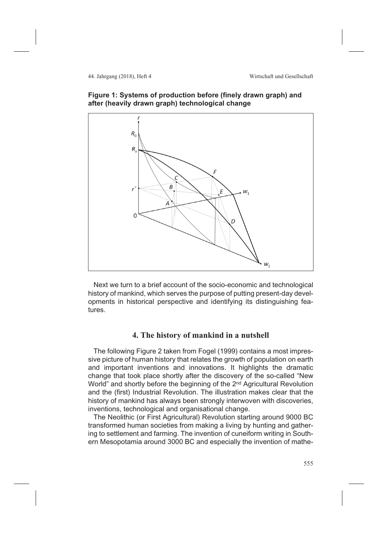



Next we turn to a brief account of the socio-economic and technological history of mankind, which serves the purpose of putting present-day developments in historical perspective and identifying its distinguishing features.

# **4. The history of mankind in a nutshell**

The following Figure 2 taken from Fogel (1999) contains a most impressive picture of human history that relates the growth of population on earth and important inventions and innovations. It highlights the dramatic change that took place shortly after the discovery of the so-called "New World" and shortly before the beginning of the 2<sup>nd</sup> Agricultural Revolution and the (first) Industrial Revolution. The illustration makes clear that the history of mankind has always been strongly interwoven with discoveries, inventions, technological and organisational change.

The Neolithic (or First Agricultural) Revolution starting around 9000 BC transformed human societies from making a living by hunting and gathering to settlement and farming. The invention of cuneiform writing in Southern Mesopotamia around 3000 BC and especially the invention of mathe-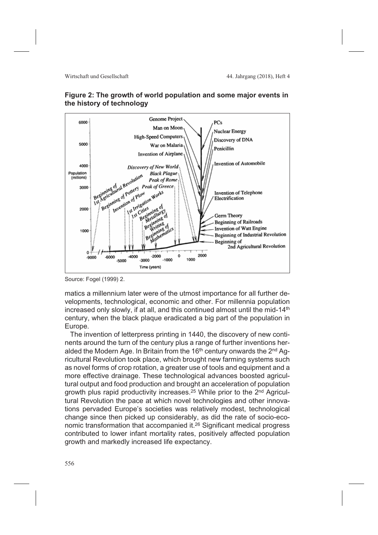



Source: Fogel (1999) 2.

matics a millennium later were of the utmost importance for all further developments, technological, economic and other. For millennia population increased only slowly, if at all, and this continued almost until the mid-14th century, when the black plaque eradicated a big part of the population in Europe.

The invention of letterpress printing in 1440, the discovery of new continents around the turn of the century plus a range of further inventions heralded the Modern Age. In Britain from the 16<sup>th</sup> century onwards the 2<sup>nd</sup> Agricultural Revolution took place, which brought new farming systems such as novel forms of crop rotation, a greater use of tools and equipment and a more effective drainage. These technological advances boosted agricultural output and food production and brought an acceleration of population growth plus rapid productivity increases.<sup>25</sup> While prior to the 2<sup>nd</sup> Agricultural Revolution the pace at which novel technologies and other innovations pervaded Europe's societies was relatively modest, technological change since then picked up considerably, as did the rate of socio-economic transformation that accompanied it.26 Significant medical progress contributed to lower infant mortality rates, positively affected population growth and markedly increased life expectancy.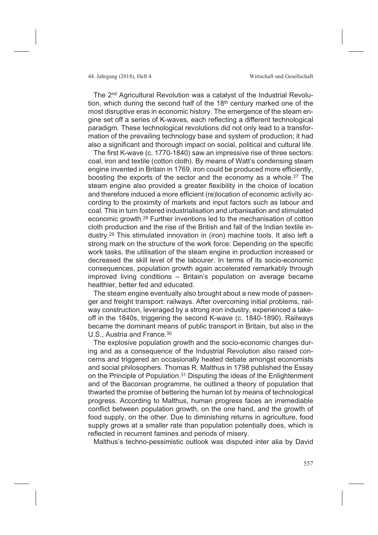The 2nd Agricultural Revolution was a catalyst of the Industrial Revolution, which during the second half of the  $18<sup>th</sup>$  century marked one of the most disruptive eras in economic history. The emergence of the steam engine set off a series of K-waves, each reflecting a different technological paradigm. These technological revolutions did not only lead to a transformation of the prevailing technology base and system of production; it had also a significant and thorough impact on social, political and cultural life.

The first K-wave (c. 1770-1840) saw an impressive rise of three sectors: coal, iron and textile (cotton cloth). By means of Watt's condensing steam engine invented in Britain in 1769, iron could be produced more efficiently, boosting the exports of the sector and the economy as a whole.27 The steam engine also provided a greater flexibility in the choice of location and therefore induced a more efficient (re)location of economic activity according to the proximity of markets and input factors such as labour and coal. This in turn fostered industrialisation and urbanisation and stimulated economic growth.28 Further inventions led to the mechanisation of cotton cloth production and the rise of the British and fall of the Indian textile industry.29 This stimulated innovation in (iron) machine tools. It also left a strong mark on the structure of the work force: Depending on the specific work tasks, the utilisation of the steam engine in production increased or decreased the skill level of the labourer. In terms of its socio-economic consequences, population growth again accelerated remarkably through improved living conditions – Britain's population on average became healthier, better fed and educated.

The steam engine eventually also brought about a new mode of passenger and freight transport: railways. After overcoming initial problems, railway construction, leveraged by a strong iron industry, experienced a takeoff in the 1840s, triggering the second K-wave (c. 1840-1890). Railways became the dominant means of public transport in Britain, but also in the U.S., Austria and France.30

The explosive population growth and the socio-economic changes during and as a consequence of the Industrial Revolution also raised concerns and triggered an occasionally heated debate amongst economists and social philosophers. Thomas R. Malthus in 1798 published the Essay on the Principle of Population.31 Disputing the ideas of the Enlightenment and of the Baconian programme, he outlined a theory of population that thwarted the promise of bettering the human lot by means of technological progress. According to Malthus, human progress faces an irremediable conflict between population growth, on the one hand, and the growth of food supply, on the other. Due to diminishing returns in agriculture, food supply grows at a smaller rate than population potentially does, which is reflected in recurrent famines and periods of misery.

Malthus's techno-pessimistic outlook was disputed inter alia by David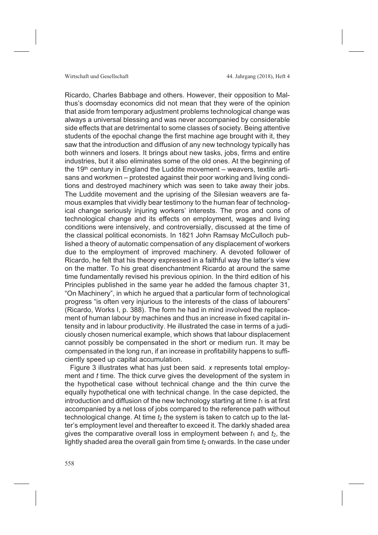Ricardo, Charles Babbage and others. However, their opposition to Malthus's doomsday economics did not mean that they were of the opinion that aside from temporary adjustment problems technological change was always a universal blessing and was never accompanied by considerable side effects that are detrimental to some classes of society. Being attentive students of the epochal change the first machine age brought with it, they saw that the introduction and diffusion of any new technology typically has both winners and losers. It brings about new tasks, jobs, firms and entire industries, but it also eliminates some of the old ones. At the beginning of the 19th century in England the Luddite movement  $-$  weavers, textile artisans and workmen – protested against their poor working and living conditions and destroyed machinery which was seen to take away their jobs. The Luddite movement and the uprising of the Silesian weavers are famous examples that vividly bear testimony to the human fear of technological change seriously injuring workers' interests. The pros and cons of technological change and its effects on employment, wages and living conditions were intensively, and controversially, discussed at the time of the classical political economists. In 1821 John Ramsay McCulloch published a theory of automatic compensation of any displacement of workers due to the employment of improved machinery. A devoted follower of Ricardo, he felt that his theory expressed in a faithful way the latter's view on the matter. To his great disenchantment Ricardo at around the same time fundamentally revised his previous opinion. In the third edition of his Principles published in the same year he added the famous chapter 31, "On Machinery", in which he argued that a particular form of technological progress "is often very injurious to the interests of the class of labourers" (Ricardo, Works I, p. 388). The form he had in mind involved the replacement of human labour by machines and thus an increase in fixed capital intensity and in labour productivity. He illustrated the case in terms of a judiciously chosen numerical example, which shows that labour displacement cannot possibly be compensated in the short or medium run. It may be compensated in the long run, if an increase in profitability happens to sufficiently speed up capital accumulation.

Figure 3 illustrates what has just been said. *x* represents total employment and *t* time. The thick curve gives the development of the system in the hypothetical case without technical change and the thin curve the equally hypothetical one with technical change. In the case depicted, the introduction and diffusion of the new technology starting at time  $t_1$  is at first accompanied by a net loss of jobs compared to the reference path without technological change. At time *t*<sup>2</sup> the system is taken to catch up to the latter's employment level and thereafter to exceed it. The darkly shaded area gives the comparative overall loss in employment between  $t_1$  and  $t_2$ , the lightly shaded area the overall gain from time  $t_2$  onwards. In the case under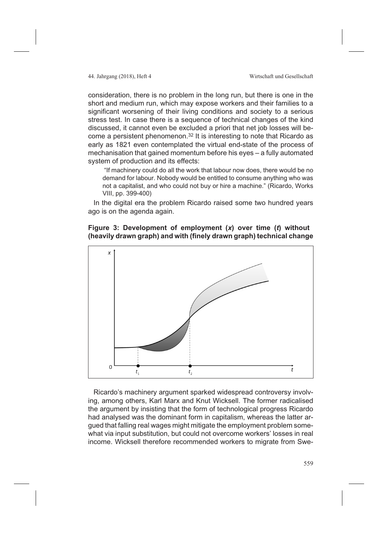consideration, there is no problem in the long run, but there is one in the short and medium run, which may expose workers and their families to a significant worsening of their living conditions and society to a serious stress test. In case there is a sequence of technical changes of the kind discussed, it cannot even be excluded a priori that net job losses will become a persistent phenomenon.32 It is interesting to note that Ricardo as early as 1821 even contemplated the virtual end-state of the process of mechanisation that gained momentum before his eyes – a fully automated system of production and its effects:

"If machinery could do all the work that labour now does, there would be no demand for labour. Nobody would be entitled to consume anything who was not a capitalist, and who could not buy or hire a machine." (Ricardo, Works VIII, pp. 399-400)

In the digital era the problem Ricardo raised some two hundred years ago is on the agenda again.

# **Figure 3: Development of employment (***x***) over time (***t***) without (heavily drawn graph) and with (finely drawn graph) technical change**



Ricardo's machinery argument sparked widespread controversy involving, among others, Karl Marx and Knut Wicksell. The former radicalised the argument by insisting that the form of technological progress Ricardo had analysed was the dominant form in capitalism, whereas the latter argued that falling real wages might mitigate the employment problem somewhat via input substitution, but could not overcome workers' losses in real income. Wicksell therefore recommended workers to migrate from Swe-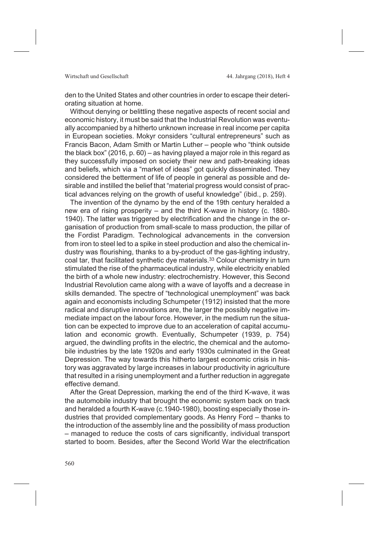den to the United States and other countries in order to escape their deteriorating situation at home.

Without denying or belittling these negative aspects of recent social and economic history, it must be said that the Industrial Revolution was eventually accompanied by a hitherto unknown increase in real income per capita in European societies. Mokyr considers "cultural entrepreneurs" such as Francis Bacon, Adam Smith or Martin Luther – people who "think outside the black box" (2016, p. 60) – as having played a major role in this regard as they successfully imposed on society their new and path-breaking ideas and beliefs, which via a "market of ideas" got quickly disseminated. They considered the betterment of life of people in general as possible and desirable and instilled the belief that "material progress would consist of practical advances relying on the growth of useful knowledge" (ibid., p. 259).

The invention of the dynamo by the end of the 19th century heralded a new era of rising prosperity – and the third K-wave in history (c. 1880- 1940). The latter was triggered by electrification and the change in the organisation of production from small-scale to mass production, the pillar of the Fordist Paradigm. Technological advancements in the conversion from iron to steel led to a spike in steel production and also the chemical industry was flourishing, thanks to a by-product of the gas-lighting industry, coal tar, that facilitated synthetic dye materials.33 Colour chemistry in turn stimulated the rise of the pharmaceutical industry, while electricity enabled the birth of a whole new industry: electrochemistry. However, this Second Industrial Revolution came along with a wave of layoffs and a decrease in skills demanded. The spectre of "technological unemployment" was back again and economists including Schumpeter (1912) insisted that the more radical and disruptive innovations are, the larger the possibly negative immediate impact on the labour force. However, in the medium run the situation can be expected to improve due to an acceleration of capital accumulation and economic growth. Eventually, Schumpeter (1939, p. 754) argued, the dwindling profits in the electric, the chemical and the automobile industries by the late 1920s and early 1930s culminated in the Great Depression. The way towards this hitherto largest economic crisis in history was aggravated by large increases in labour productivity in agriculture that resulted in a rising unemployment and a further reduction in aggregate effective demand.

After the Great Depression, marking the end of the third K-wave, it was the automobile industry that brought the economic system back on track and heralded a fourth K-wave (c.1940-1980), boosting especially those industries that provided complementary goods. As Henry Ford – thanks to the introduction of the assembly line and the possibility of mass production – managed to reduce the costs of cars significantly, individual transport started to boom. Besides, after the Second World War the electrification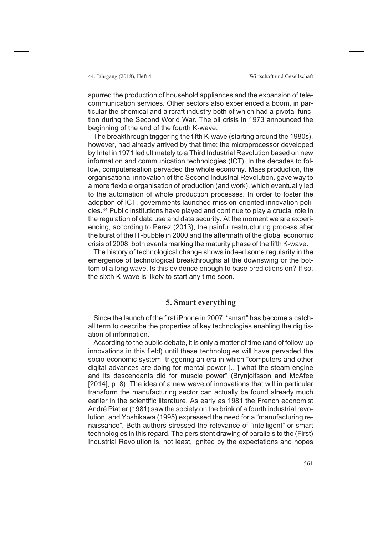spurred the production of household appliances and the expansion of telecommunication services. Other sectors also experienced a boom, in particular the chemical and aircraft industry both of which had a pivotal function during the Second World War. The oil crisis in 1973 announced the beginning of the end of the fourth K-wave.

The breakthrough triggering the fifth K-wave (starting around the 1980s), however, had already arrived by that time: the microprocessor developed by Intel in 1971 led ultimately to a Third Industrial Revolution based on new information and communication technologies (ICT). In the decades to follow, computerisation pervaded the whole economy. Mass production, the organisational innovation of the Second Industrial Revolution, gave way to a more flexible organisation of production (and work), which eventually led to the automation of whole production processes. In order to foster the adoption of ICT, governments launched mission-oriented innovation policies.34 Public institutions have played and continue to play a crucial role in the regulation of data use and data security. At the moment we are experiencing, according to Perez (2013), the painful restructuring process after the burst of the IT-bubble in 2000 and the aftermath of the global economic crisis of 2008, both events marking the maturity phase of the fifth K-wave.

The history of technological change shows indeed some regularity in the emergence of technological breakthroughs at the downswing or the bottom of a long wave. Is this evidence enough to base predictions on? If so, the sixth K-wave is likely to start any time soon.

# **5. Smart everything**

Since the launch of the first iPhone in 2007, "smart" has become a catchall term to describe the properties of key technologies enabling the digitisation of information.

According to the public debate, it is only a matter of time (and of follow-up innovations in this field) until these technologies will have pervaded the socio-economic system, triggering an era in which "computers and other digital advances are doing for mental power […] what the steam engine and its descendants did for muscle power" (Brynjolfsson and McAfee [2014], p. 8). The idea of a new wave of innovations that will in particular transform the manufacturing sector can actually be found already much earlier in the scientific literature. As early as 1981 the French economist André Piatier (1981) saw the society on the brink of a fourth industrial revolution, and Yoshikawa (1995) expressed the need for a "manufacturing renaissance". Both authors stressed the relevance of "intelligent" or smart technologies in this regard. The persistent drawing of parallels to the (First) Industrial Revolution is, not least, ignited by the expectations and hopes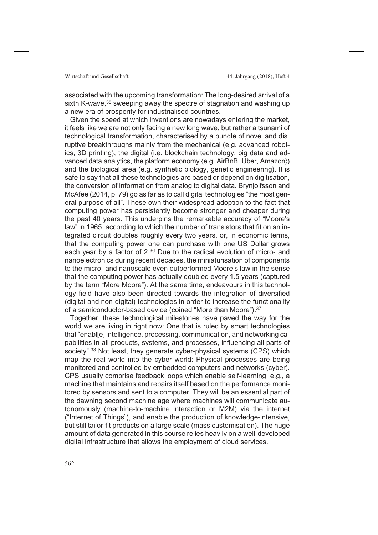associated with the upcoming transformation: The long-desired arrival of a sixth K-wave,<sup>35</sup> sweeping away the spectre of stagnation and washing up a new era of prosperity for industrialised countries.

Given the speed at which inventions are nowadays entering the market, it feels like we are not only facing a new long wave, but rather a tsunami of technological transformation, characterised by a bundle of novel and disruptive breakthroughs mainly from the mechanical (e.g. advanced robotics, 3D printing), the digital (i.e. blockchain technology, big data and advanced data analytics, the platform economy  $\langle e.g.$  AirBnB, Uber, Amazon $\rangle$ ) and the biological area (e.g. synthetic biology, genetic engineering). It is safe to say that all these technologies are based or depend on digitisation, the conversion of information from analog to digital data. Brynjolfsson and McAfee (2014, p. 79) go as far as to call digital technologies "the most general purpose of all". These own their widespread adoption to the fact that computing power has persistently become stronger and cheaper during the past 40 years. This underpins the remarkable accuracy of "Moore's law" in 1965, according to which the number of transistors that fit on an integrated circuit doubles roughly every two years, or, in economic terms, that the computing power one can purchase with one US Dollar grows each year by a factor of 2.36 Due to the radical evolution of micro- and nanoelectronics during recent decades, the miniaturisation of components to the micro- and nanoscale even outperformed Moore's law in the sense that the computing power has actually doubled every 1.5 years (captured by the term "More Moore"). At the same time, endeavours in this technology field have also been directed towards the integration of diversified (digital and non-digital) technologies in order to increase the functionality of a semiconductor-based device (coined "More than Moore").37

Together, these technological milestones have paved the way for the world we are living in right now: One that is ruled by smart technologies that "enabl[e] intelligence, processing, communication, and networking capabilities in all products, systems, and processes, influencing all parts of society".<sup>38</sup> Not least, they generate cyber-physical systems (CPS) which map the real world into the cyber world: Physical processes are being monitored and controlled by embedded computers and networks (cyber). CPS usually comprise feedback loops which enable self-learning, e.g., a machine that maintains and repairs itself based on the performance monitored by sensors and sent to a computer. They will be an essential part of the dawning second machine age where machines will communicate autonomously (machine-to-machine interaction or M2M) via the internet ("Internet of Things"), and enable the production of knowledge-intensive, but still tailor-fit products on a large scale (mass customisation). The huge amount of data generated in this course relies heavily on a well-developed digital infrastructure that allows the employment of cloud services.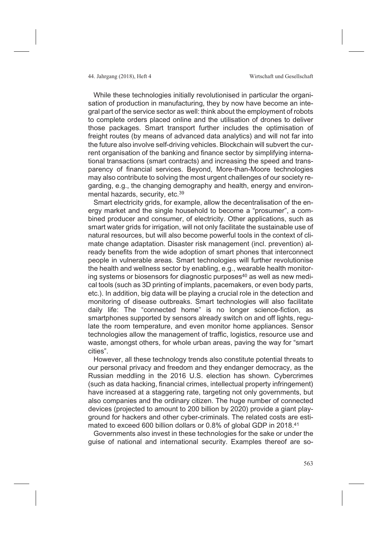While these technologies initially revolutionised in particular the organisation of production in manufacturing, they by now have become an integral part of the service sector as well: think about the employment of robots to complete orders placed online and the utilisation of drones to deliver those packages. Smart transport further includes the optimisation of freight routes (by means of advanced data analytics) and will not far into the future also involve self-driving vehicles. Blockchain will subvert the current organisation of the banking and finance sector by simplifying international transactions (smart contracts) and increasing the speed and transparency of financial services. Beyond, More-than-Moore technologies may also contribute to solving the most urgent challenges of our society regarding, e.g., the changing demography and health, energy and environmental hazards, security, etc.<sup>39</sup>

Smart electricity grids, for example, allow the decentralisation of the energy market and the single household to become a "prosumer", a combined producer and consumer, of electricity. Other applications, such as smart water grids for irrigation, will not only facilitate the sustainable use of natural resources, but will also become powerful tools in the context of climate change adaptation. Disaster risk management (incl. prevention) already benefits from the wide adoption of smart phones that interconnect people in vulnerable areas. Smart technologies will further revolutionise the health and wellness sector by enabling, e.g., wearable health monitoring systems or biosensors for diagnostic purposes<sup>40</sup> as well as new medical tools (such as 3D printing of implants, pacemakers, or even body parts, etc.). In addition, big data will be playing a crucial role in the detection and monitoring of disease outbreaks. Smart technologies will also facilitate daily life: The "connected home" is no longer science-fiction, as smartphones supported by sensors already switch on and off lights, regulate the room temperature, and even monitor home appliances. Sensor technologies allow the management of traffic, logistics, resource use and waste, amongst others, for whole urban areas, paving the way for "smart cities".

However, all these technology trends also constitute potential threats to our personal privacy and freedom and they endanger democracy, as the Russian meddling in the 2016 U.S. election has shown. Cybercrimes (such as data hacking, financial crimes, intellectual property infringement) have increased at a staggering rate, targeting not only governments, but also companies and the ordinary citizen. The huge number of connected devices (projected to amount to 200 billion by 2020) provide a giant playground for hackers and other cyber-criminals. The related costs are estimated to exceed 600 billion dollars or 0.8% of global GDP in 2018.<sup>41</sup>

Governments also invest in these technologies for the sake or under the guise of national and international security. Examples thereof are so-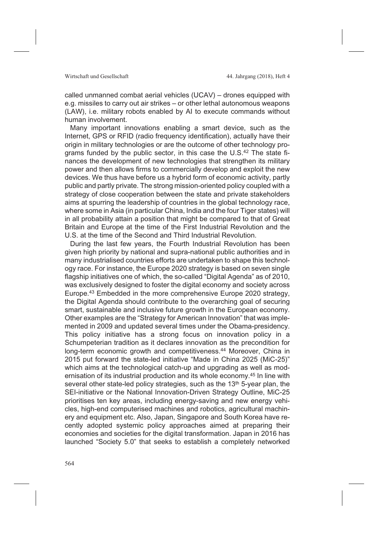called unmanned combat aerial vehicles (UCAV) – drones equipped with e.g. missiles to carry out air strikes – or other lethal autonomous weapons (LAW), i.e. military robots enabled by AI to execute commands without human involvement.

Many important innovations enabling a smart device, such as the Internet, GPS or RFID (radio frequency identification), actually have their origin in military technologies or are the outcome of other technology programs funded by the public sector, in this case the U.S.42 The state finances the development of new technologies that strengthen its military power and then allows firms to commercially develop and exploit the new devices. We thus have before us a hybrid form of economic activity, partly public and partly private. The strong mission-oriented policy coupled with a strategy of close cooperation between the state and private stakeholders aims at spurring the leadership of countries in the global technology race, where some in Asia (in particular China, India and the four Tiger states) will in all probability attain a position that might be compared to that of Great Britain and Europe at the time of the First Industrial Revolution and the U.S. at the time of the Second and Third Industrial Revolution.

During the last few years, the Fourth Industrial Revolution has been given high priority by national and supra-national public authorities and in many industrialised countries efforts are undertaken to shape this technology race. For instance, the Europe 2020 strategy is based on seven single flagship initiatives one of which, the so-called "Digital Agenda" as of 2010, was exclusively designed to foster the digital economy and society across Europe.43 Embedded in the more comprehensive Europe 2020 strategy, the Digital Agenda should contribute to the overarching goal of securing smart, sustainable and inclusive future growth in the European economy. Other examples are the "Strategy for American Innovation" that was implemented in 2009 and updated several times under the Obama-presidency. This policy initiative has a strong focus on innovation policy in a Schumpeterian tradition as it declares innovation as the precondition for long-term economic growth and competitiveness.<sup>44</sup> Moreover, China in 2015 put forward the state-led initiative "Made in China 2025 (MiC-25)" which aims at the technological catch-up and upgrading as well as modernisation of its industrial production and its whole economy.45 In line with several other state-led policy strategies, such as the 13<sup>th</sup> 5-year plan, the SEI-initiative or the National Innovation-Driven Strategy Outline, MiC-25 prioritises ten key areas, including energy-saving and new energy vehicles, high-end computerised machines and robotics, agricultural machinery and equipment etc. Also, Japan, Singapore and South Korea have recently adopted systemic policy approaches aimed at preparing their economies and societies for the digital transformation. Japan in 2016 has launched "Society 5.0" that seeks to establish a completely networked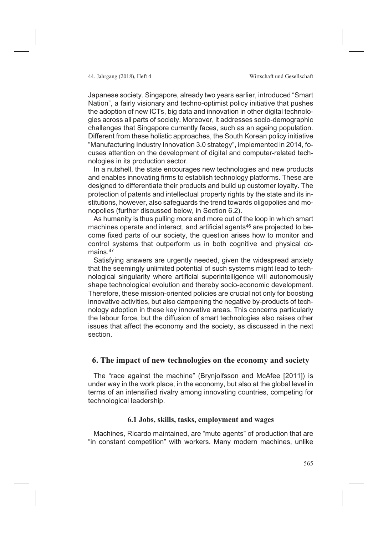Japanese society. Singapore, already two years earlier, introduced "Smart Nation", a fairly visionary and techno-optimist policy initiative that pushes the adoption of new ICTs, big data and innovation in other digital technologies across all parts of society. Moreover, it addresses socio-demographic challenges that Singapore currently faces, such as an ageing population. Different from these holistic approaches, the South Korean policy initiative "Manufacturing Industry Innovation 3.0 strategy", implemented in 2014, focuses attention on the development of digital and computer-related technologies in its production sector.

In a nutshell, the state encourages new technologies and new products and enables innovating firms to establish technology platforms. These are designed to differentiate their products and build up customer loyalty. The protection of patents and intellectual property rights by the state and its institutions, however, also safeguards the trend towards oligopolies and monopolies (further discussed below, in Section 6.2).

As humanity is thus pulling more and more out of the loop in which smart machines operate and interact, and artificial agents<sup>46</sup> are projected to become fixed parts of our society, the question arises how to monitor and control systems that outperform us in both cognitive and physical domains.<sup>47</sup>

Satisfying answers are urgently needed, given the widespread anxiety that the seemingly unlimited potential of such systems might lead to technological singularity where artificial superintelligence will autonomously shape technological evolution and thereby socio-economic development. Therefore, these mission-oriented policies are crucial not only for boosting innovative activities, but also dampening the negative by-products of technology adoption in these key innovative areas. This concerns particularly the labour force, but the diffusion of smart technologies also raises other issues that affect the economy and the society, as discussed in the next section.

## **6. The impact of new technologies on the economy and society**

The "race against the machine" (Brynjolfsson and McAfee [2011]) is under way in the work place, in the economy, but also at the global level in terms of an intensified rivalry among innovating countries, competing for technological leadership.

# **6.1 Jobs, skills, tasks, employment and wages**

Machines, Ricardo maintained, are "mute agents" of production that are "in constant competition" with workers. Many modern machines, unlike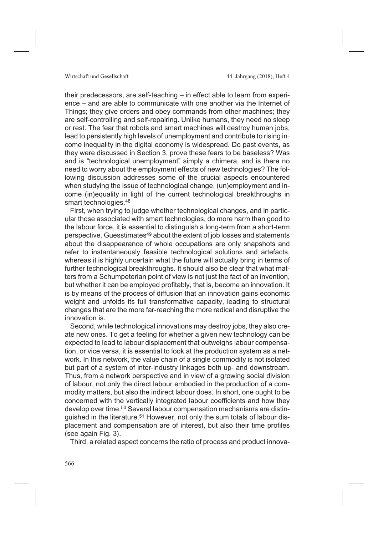their predecessors, are self-teaching – in effect able to learn from experience – and are able to communicate with one another via the Internet of Things; they give orders and obey commands from other machines; they are self-controlling and self-repairing. Unlike humans, they need no sleep or rest. The fear that robots and smart machines will destroy human jobs, lead to persistently high levels of unemployment and contribute to rising income inequality in the digital economy is widespread. Do past events, as they were discussed in Section 3, prove these fears to be baseless? Was and is "technological unemployment" simply a chimera, and is there no need to worry about the employment effects of new technologies? The following discussion addresses some of the crucial aspects encountered when studying the issue of technological change, (un)employment and income (in)equality in light of the current technological breakthroughs in smart technologies.<sup>48</sup>

First, when trying to judge whether technological changes, and in particular those associated with smart technologies, do more harm than good to the labour force, it is essential to distinguish a long-term from a short-term perspective. Guesstimates49 about the extent of job losses and statements about the disappearance of whole occupations are only snapshots and refer to instantaneously feasible technological solutions and artefacts, whereas it is highly uncertain what the future will actually bring in terms of further technological breakthroughs. It should also be clear that what matters from a Schumpeterian point of view is not just the fact of an invention, but whether it can be employed profitably, that is, become an innovation. It is by means of the process of diffusion that an innovation gains economic weight and unfolds its full transformative capacity, leading to structural changes that are the more far-reaching the more radical and disruptive the innovation is.

Second, while technological innovations may destroy jobs, they also create new ones. To get a feeling for whether a given new technology can be expected to lead to labour displacement that outweighs labour compensation, or vice versa, it is essential to look at the production system as a network. In this network, the value chain of a single commodity is not isolated but part of a system of inter-industry linkages both up- and downstream. Thus, from a network perspective and in view of a growing social division of labour, not only the direct labour embodied in the production of a commodity matters, but also the indirect labour does. In short, one ought to be concerned with the vertically integrated labour coefficients and how they develop over time.50 Several labour compensation mechanisms are distinguished in the literature.<sup>51</sup> However, not only the sum totals of labour displacement and compensation are of interest, but also their time profiles (see again Fig. 3).

Third, a related aspect concerns the ratio of process and product innova-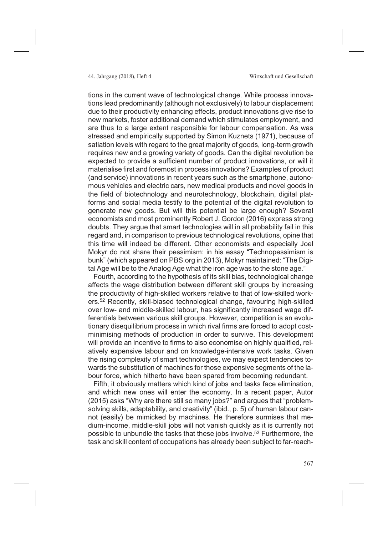tions in the current wave of technological change. While process innovations lead predominantly (although not exclusively) to labour displacement due to their productivity enhancing effects, product innovations give rise to new markets, foster additional demand which stimulates employment, and are thus to a large extent responsible for labour compensation. As was stressed and empirically supported by Simon Kuznets (1971), because of satiation levels with regard to the great majority of goods, long-term growth requires new and a growing variety of goods. Can the digital revolution be expected to provide a sufficient number of product innovations, or will it materialise first and foremost in process innovations? Examples of product (and service) innovations in recent years such as the smartphone, autonomous vehicles and electric cars, new medical products and novel goods in the field of biotechnology and neurotechnology, blockchain, digital platforms and social media testify to the potential of the digital revolution to generate new goods. But will this potential be large enough? Several economists and most prominently Robert J. Gordon (2016) express strong doubts. They argue that smart technologies will in all probability fail in this regard and, in comparison to previous technological revolutions, opine that this time will indeed be different. Other economists and especially Joel Mokyr do not share their pessimism: in his essay "Technopessimism is bunk" (which appeared on PBS.org in 2013), Mokyr maintained: "The Digital Age will be to the Analog Age what the iron age was to the stone age."

Fourth, according to the hypothesis of its skill bias, technological change affects the wage distribution between different skill groups by increasing the productivity of high-skilled workers relative to that of low-skilled workers.52 Recently, skill-biased technological change, favouring high-skilled over low- and middle-skilled labour, has significantly increased wage differentials between various skill groups. However, competition is an evolutionary disequilibrium process in which rival firms are forced to adopt costminimising methods of production in order to survive. This development will provide an incentive to firms to also economise on highly qualified, relatively expensive labour and on knowledge-intensive work tasks. Given the rising complexity of smart technologies, we may expect tendencies towards the substitution of machines for those expensive segments of the labour force, which hitherto have been spared from becoming redundant.

Fifth, it obviously matters which kind of jobs and tasks face elimination, and which new ones will enter the economy. In a recent paper, Autor (2015) asks "Why are there still so many jobs?" and argues that "problemsolving skills, adaptability, and creativity" (ibid., p. 5) of human labour cannot (easily) be mimicked by machines. He therefore surmises that medium-income, middle-skill jobs will not vanish quickly as it is currently not possible to unbundle the tasks that these jobs involve.<sup>53</sup> Furthermore, the task and skill content of occupations has already been subject to far-reach-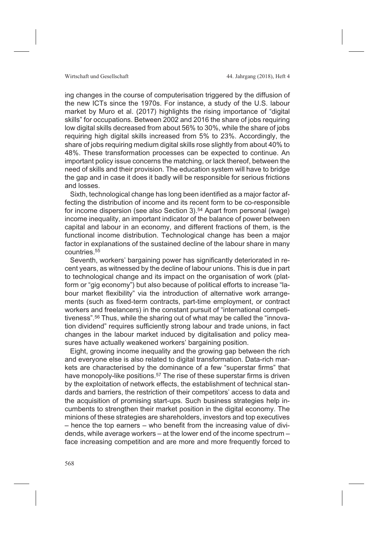ing changes in the course of computerisation triggered by the diffusion of the new ICTs since the 1970s. For instance, a study of the U.S. labour market by Muro et al. (2017) highlights the rising importance of "digital skills" for occupations. Between 2002 and 2016 the share of jobs requiring low digital skills decreased from about 56% to 30%, while the share of jobs requiring high digital skills increased from 5% to 23%. Accordingly, the share of jobs requiring medium digital skills rose slightly from about 40% to 48%. These transformation processes can be expected to continue. An important policy issue concerns the matching, or lack thereof, between the need of skills and their provision. The education system will have to bridge the gap and in case it does it badly will be responsible for serious frictions and losses.

Sixth, technological change has long been identified as a major factor affecting the distribution of income and its recent form to be co-responsible for income dispersion (see also Section 3).<sup>54</sup> Apart from personal (wage) income inequality, an important indicator of the balance of power between capital and labour in an economy, and different fractions of them, is the functional income distribution. Technological change has been a major factor in explanations of the sustained decline of the labour share in many countries.55

Seventh, workers' bargaining power has significantly deteriorated in recent years, as witnessed by the decline of labour unions. This is due in part to technological change and its impact on the organisation of work (platform or "gig economy") but also because of political efforts to increase "labour market flexibility" via the introduction of alternative work arrangements (such as fixed-term contracts, part-time employment, or contract workers and freelancers) in the constant pursuit of "international competitiveness".56 Thus, while the sharing out of what may be called the "innovation dividend" requires sufficiently strong labour and trade unions, in fact changes in the labour market induced by digitalisation and policy measures have actually weakened workers' bargaining position.

Eight, growing income inequality and the growing gap between the rich and everyone else is also related to digital transformation. Data-rich markets are characterised by the dominance of a few "superstar firms" that have monopoly-like positions.<sup>57</sup> The rise of these superstar firms is driven by the exploitation of network effects, the establishment of technical standards and barriers, the restriction of their competitors' access to data and the acquisition of promising start-ups. Such business strategies help incumbents to strengthen their market position in the digital economy. The minions of these strategies are shareholders, investors and top executives – hence the top earners – who benefit from the increasing value of dividends, while average workers – at the lower end of the income spectrum – face increasing competition and are more and more frequently forced to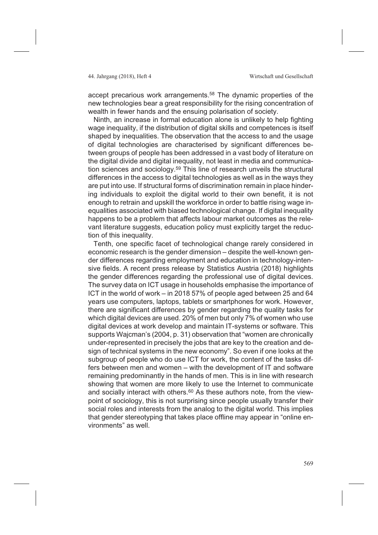accept precarious work arrangements.<sup>58</sup> The dynamic properties of the new technologies bear a great responsibility for the rising concentration of wealth in fewer hands and the ensuing polarisation of society.

Ninth, an increase in formal education alone is unlikely to help fighting wage inequality, if the distribution of digital skills and competences is itself shaped by inequalities. The observation that the access to and the usage of digital technologies are characterised by significant differences between groups of people has been addressed in a vast body of literature on the digital divide and digital inequality, not least in media and communication sciences and sociology.59 This line of research unveils the structural differences in the access to digital technologies as well as in the ways they are put into use. If structural forms of discrimination remain in place hindering individuals to exploit the digital world to their own benefit, it is not enough to retrain and upskill the workforce in order to battle rising wage inequalities associated with biased technological change. If digital inequality happens to be a problem that affects labour market outcomes as the relevant literature suggests, education policy must explicitly target the reduction of this inequality.

Tenth, one specific facet of technological change rarely considered in economic research is the gender dimension – despite the well-known gender differences regarding employment and education in technology-intensive fields. A recent press release by Statistics Austria (2018) highlights the gender differences regarding the professional use of digital devices. The survey data on ICT usage in households emphasise the importance of ICT in the world of work – in 2018 57% of people aged between 25 and 64 years use computers, laptops, tablets or smartphones for work. However, there are significant differences by gender regarding the quality tasks for which digital devices are used. 20% of men but only 7% of women who use digital devices at work develop and maintain IT-systems or software. This supports Wajcman's (2004, p. 31) observation that "women are chronically under-represented in precisely the jobs that are key to the creation and design of technical systems in the new economy". So even if one looks at the subgroup of people who do use ICT for work, the content of the tasks differs between men and women – with the development of IT and software remaining predominantly in the hands of men. This is in line with research showing that women are more likely to use the Internet to communicate and socially interact with others.<sup>60</sup> As these authors note, from the viewpoint of sociology, this is not surprising since people usually transfer their social roles and interests from the analog to the digital world. This implies that gender stereotyping that takes place offline may appear in "online environments" as well.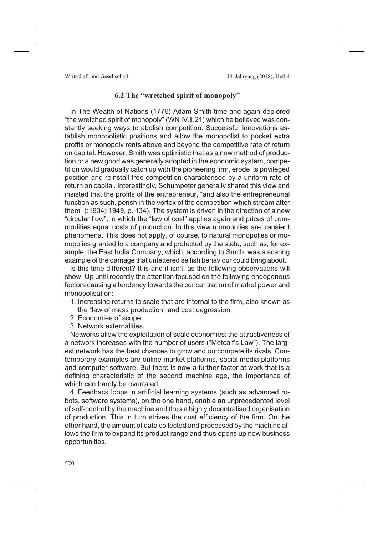# **6.2 The "wretched spirit of monopoly"**

In The Wealth of Nations (1776) Adam Smith time and again deplored "the wretched spirit of monopoly" (WN IV.ii.21) which he believed was constantly seeking ways to abolish competition. Successful innovations establish monopolistic positions and allow the monopolist to pocket extra profits or monopoly rents above and beyond the competitive rate of return on capital. However, Smith was optimistic that as a new method of production or a new good was generally adopted in the economic system, competition would gradually catch up with the pioneering firm, erode its privileged position and reinstall free competition characterised by a uniform rate of return on capital. Interestingly, Schumpeter generally shared this view and insisted that the profits of the entrepreneur, "and also the entrepreneurial function as such, perish in the vortex of the competition which stream after them" ( $\langle 1934 \rangle$  1949, p. 134). The system is driven in the direction of a new "circular flow", in which the "law of cost" applies again and prices of commodities equal costs of production. In this view monopolies are transient phenomena. This does not apply, of course, to natural monopolies or monopolies granted to a company and protected by the state, such as, for example, the East India Company, which, according to Smith, was a scaring example of the damage that unfettered selfish behaviour could bring about.

Is this time different? It is and it isn't, as the following observations will show. Up until recently the attention focused on the following endogenous factors causing a tendency towards the concentration of market power and monopolisation:

- 1. Increasing returns to scale that are internal to the firm, also known as the "law of mass production" and cost degression.
- 2. Economies of scope.
- 3. Network externalities.

Networks allow the exploitation of scale economies: the attractiveness of a network increases with the number of users ("Metcalf's Law"). The largest network has the best chances to grow and outcompete its rivals. Contemporary examples are online market platforms, social media platforms and computer software. But there is now a further factor at work that is a defining characteristic of the second machine age, the importance of which can hardly be overrated:

4. Feedback loops in artificial learning systems (such as advanced robots, software systems), on the one hand, enable an unprecedented level of self-control by the machine and thus a highly decentralised organisation of production. This in turn strives the cost efficiency of the firm. On the other hand, the amount of data collected and processed by the machine allows the firm to expand its product range and thus opens up new business opportunities.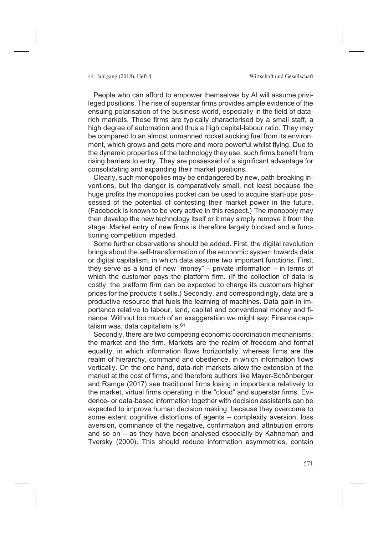People who can afford to empower themselves by AI will assume privileged positions. The rise of superstar firms provides ample evidence of the ensuing polarisation of the business world, especially in the field of datarich markets. These firms are typically characterised by a small staff, a high degree of automation and thus a high capital-labour ratio. They may be compared to an almost unmanned rocket sucking fuel from its environment, which grows and gets more and more powerful whilst flying. Due to the dynamic properties of the technology they use, such firms benefit from rising barriers to entry. They are possessed of a significant advantage for consolidating and expanding their market positions.

Clearly, such monopolies may be endangered by new, path-breaking inventions, but the danger is comparatively small, not least because the huge profits the monopolies pocket can be used to acquire start-ups possessed of the potential of contesting their market power in the future. (Facebook is known to be very active in this respect.) The monopoly may then develop the new technology itself or it may simply remove it from the stage. Market entry of new firms is therefore largely blocked and a functioning competition impeded.

Some further observations should be added. First, the digital revolution brings about the self-transformation of the economic system towards data or digital capitalism, in which data assume two important functions. First, they serve as a kind of new "money" – private information – in terms of which the customer pays the platform firm. (If the collection of data is costly, the platform firm can be expected to charge its customers higher prices for the products it sells.) Secondly, and correspondingly, data are a productive resource that fuels the learning of machines. Data gain in importance relative to labour, land, capital and conventional money and finance. Without too much of an exaggeration we might say: Finance capitalism was, data capitalism is.<sup>61</sup>

Secondly, there are two competing economic coordination mechanisms: the market and the firm. Markets are the realm of freedom and formal equality, in which information flows horizontally, whereas firms are the realm of hierarchy, command and obedience, in which information flows vertically. On the one hand, data-rich markets allow the extension of the market at the cost of firms, and therefore authors like Mayer-Schönberger and Ramge (2017) see traditional firms losing in importance relatively to the market, virtual firms operating in the "cloud" and superstar firms. Evidence- or data-based information together with decision assistants can be expected to improve human decision making, because they overcome to some extent cognitive distortions of agents – complexity aversion, loss aversion, dominance of the negative, confirmation and attribution errors and so on – as they have been analysed especially by Kahneman and Tversky (2000). This should reduce information asymmetries, contain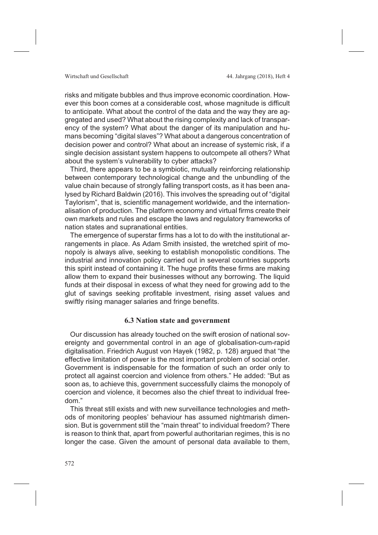risks and mitigate bubbles and thus improve economic coordination. However this boon comes at a considerable cost, whose magnitude is difficult to anticipate. What about the control of the data and the way they are aggregated and used? What about the rising complexity and lack of transparency of the system? What about the danger of its manipulation and humans becoming "digital slaves"? What about a dangerous concentration of decision power and control? What about an increase of systemic risk, if a single decision assistant system happens to outcompete all others? What about the system's vulnerability to cyber attacks?

Third, there appears to be a symbiotic, mutually reinforcing relationship between contemporary technological change and the unbundling of the value chain because of strongly falling transport costs, as it has been analysed by Richard Baldwin (2016). This involves the spreading out of "digital Taylorism", that is, scientific management worldwide, and the internationalisation of production. The platform economy and virtual firms create their own markets and rules and escape the laws and regulatory frameworks of nation states and supranational entities.

The emergence of superstar firms has a lot to do with the institutional arrangements in place. As Adam Smith insisted, the wretched spirit of monopoly is always alive, seeking to establish monopolistic conditions. The industrial and innovation policy carried out in several countries supports this spirit instead of containing it. The huge profits these firms are making allow them to expand their businesses without any borrowing. The liquid funds at their disposal in excess of what they need for growing add to the glut of savings seeking profitable investment, rising asset values and swiftly rising manager salaries and fringe benefits.

### **6.3 Nation state and government**

Our discussion has already touched on the swift erosion of national sovereignty and governmental control in an age of globalisation-cum-rapid digitalisation. Friedrich August von Hayek (1982, p. 128) argued that "the effective limitation of power is the most important problem of social order. Government is indispensable for the formation of such an order only to protect all against coercion and violence from others." He added: "But as soon as, to achieve this, government successfully claims the monopoly of coercion and violence, it becomes also the chief threat to individual freedom."

This threat still exists and with new surveillance technologies and methods of monitoring peoples' behaviour has assumed nightmarish dimension. But is government still the "main threat" to individual freedom? There is reason to think that, apart from powerful authoritarian regimes, this is no longer the case. Given the amount of personal data available to them,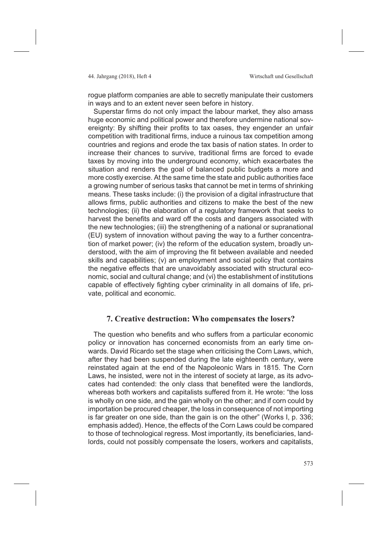rogue platform companies are able to secretly manipulate their customers in ways and to an extent never seen before in history.

Superstar firms do not only impact the labour market, they also amass huge economic and political power and therefore undermine national sovereignty: By shifting their profits to tax oases, they engender an unfair competition with traditional firms, induce a ruinous tax competition among countries and regions and erode the tax basis of nation states. In order to increase their chances to survive, traditional firms are forced to evade taxes by moving into the underground economy, which exacerbates the situation and renders the goal of balanced public budgets a more and more costly exercise. At the same time the state and public authorities face a growing number of serious tasks that cannot be met in terms of shrinking means. These tasks include: (i) the provision of a digital infrastructure that allows firms, public authorities and citizens to make the best of the new technologies; (ii) the elaboration of a regulatory framework that seeks to harvest the benefits and ward off the costs and dangers associated with the new technologies; (iii) the strengthening of a national or supranational (EU) system of innovation without paving the way to a further concentration of market power; (iv) the reform of the education system, broadly understood, with the aim of improving the fit between available and needed skills and capabilities; (v) an employment and social policy that contains the negative effects that are unavoidably associated with structural economic, social and cultural change; and (vi) the establishment of institutions capable of effectively fighting cyber criminality in all domains of life, private, political and economic.

# **7. Creative destruction: Who compensates the losers?**

The question who benefits and who suffers from a particular economic policy or innovation has concerned economists from an early time onwards. David Ricardo set the stage when criticising the Corn Laws, which, after they had been suspended during the late eighteenth century, were reinstated again at the end of the Napoleonic Wars in 1815. The Corn Laws, he insisted, were not in the interest of society at large, as its advocates had contended: the only class that benefited were the landlords, whereas both workers and capitalists suffered from it. He wrote: "the loss is wholly on one side, and the gain wholly on the other; and if corn could by importation be procured cheaper, the loss in consequence of not importing is far greater on one side, than the gain is on the other" (Works I, p. 336; emphasis added). Hence, the effects of the Corn Laws could be compared to those of technological regress. Most importantly, its beneficiaries, landlords, could not possibly compensate the losers, workers and capitalists,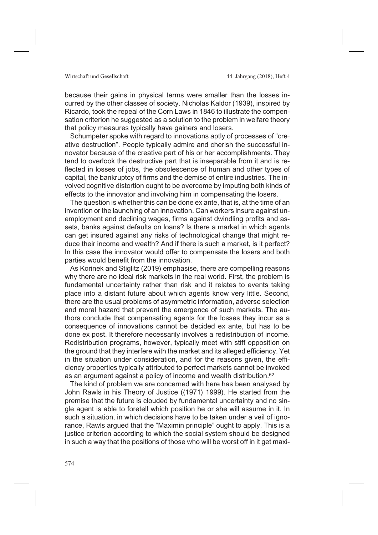because their gains in physical terms were smaller than the losses incurred by the other classes of society. Nicholas Kaldor (1939), inspired by Ricardo, took the repeal of the Corn Laws in 1846 to illustrate the compensation criterion he suggested as a solution to the problem in welfare theory that policy measures typically have gainers and losers.

Schumpeter spoke with regard to innovations aptly of processes of "creative destruction". People typically admire and cherish the successful innovator because of the creative part of his or her accomplishments. They tend to overlook the destructive part that is inseparable from it and is reflected in losses of jobs, the obsolescence of human and other types of capital, the bankruptcy of firms and the demise of entire industries. The involved cognitive distortion ought to be overcome by imputing both kinds of effects to the innovator and involving him in compensating the losers.

The question is whether this can be done ex ante, that is, at the time of an invention or the launching of an innovation. Can workers insure against unemployment and declining wages, firms against dwindling profits and assets, banks against defaults on loans? Is there a market in which agents can get insured against any risks of technological change that might reduce their income and wealth? And if there is such a market, is it perfect? In this case the innovator would offer to compensate the losers and both parties would benefit from the innovation.

As Korinek and Stiglitz (2019) emphasise, there are compelling reasons why there are no ideal risk markets in the real world. First, the problem is fundamental uncertainty rather than risk and it relates to events taking place into a distant future about which agents know very little. Second, there are the usual problems of asymmetric information, adverse selection and moral hazard that prevent the emergence of such markets. The authors conclude that compensating agents for the losses they incur as a consequence of innovations cannot be decided ex ante, but has to be done ex post. It therefore necessarily involves a redistribution of income. Redistribution programs, however, typically meet with stiff opposition on the ground that they interfere with the market and its alleged efficiency. Yet in the situation under consideration, and for the reasons given, the efficiency properties typically attributed to perfect markets cannot be invoked as an argument against a policy of income and wealth distribution.62

The kind of problem we are concerned with here has been analysed by John Rawls in his Theory of Justice (〈1971〉 1999). He started from the premise that the future is clouded by fundamental uncertainty and no single agent is able to foretell which position he or she will assume in it. In such a situation, in which decisions have to be taken under a veil of ignorance, Rawls argued that the "Maximin principle" ought to apply. This is a justice criterion according to which the social system should be designed in such a way that the positions of those who will be worst off in it get maxi-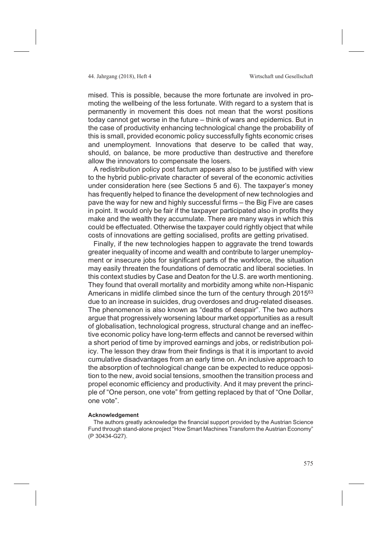mised. This is possible, because the more fortunate are involved in promoting the wellbeing of the less fortunate. With regard to a system that is permanently in movement this does not mean that the worst positions today cannot get worse in the future – think of wars and epidemics. But in the case of productivity enhancing technological change the probability of this is small, provided economic policy successfully fights economic crises and unemployment. Innovations that deserve to be called that way, should, on balance, be more productive than destructive and therefore allow the innovators to compensate the losers.

A redistribution policy post factum appears also to be justified with view to the hybrid public-private character of several of the economic activities under consideration here (see Sections 5 and 6). The taxpayer's money has frequently helped to finance the development of new technologies and pave the way for new and highly successful firms – the Big Five are cases in point. It would only be fair if the taxpayer participated also in profits they make and the wealth they accumulate. There are many ways in which this could be effectuated. Otherwise the taxpayer could rightly object that while costs of innovations are getting socialised, profits are getting privatised.

Finally, if the new technologies happen to aggravate the trend towards greater inequality of income and wealth and contribute to larger unemployment or insecure jobs for significant parts of the workforce, the situation may easily threaten the foundations of democratic and liberal societies. In this context studies by Case and Deaton for the U.S. are worth mentioning. They found that overall mortality and morbidity among white non-Hispanic Americans in midlife climbed since the turn of the century through 2015<sup>63</sup> due to an increase in suicides, drug overdoses and drug-related diseases. The phenomenon is also known as "deaths of despair". The two authors argue that progressively worsening labour market opportunities as a result of globalisation, technological progress, structural change and an ineffective economic policy have long-term effects and cannot be reversed within a short period of time by improved earnings and jobs, or redistribution policy. The lesson they draw from their findings is that it is important to avoid cumulative disadvantages from an early time on. An inclusive approach to the absorption of technological change can be expected to reduce opposition to the new, avoid social tensions, smoothen the transition process and propel economic efficiency and productivity. And it may prevent the principle of "One person, one vote" from getting replaced by that of "One Dollar, one vote".

### **Acknowledgement**

The authors greatly acknowledge the financial support provided by the Austrian Science Fund through stand-alone project "How Smart Machines Transform the Austrian Economy" (P 30434-G27).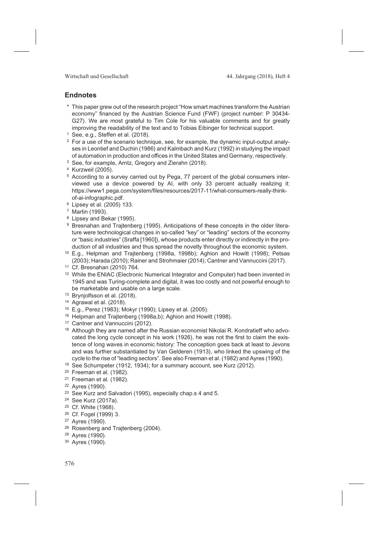Wirtschaft und Gesellschaft 144. Jahrgang (2018), Heft 4

### **Endnotes**

- \* This paper grew out of the research project "How smart machines transform the Austrian economy" financed by the Austrian Science Fund (FWF) (project number: P 30434- G27). We are most grateful to Tim Cole for his valuable comments and for greatly improving the readability of the text and to Tobias Eibinger for technical support.
- <sup>1</sup> See, e.g., Steffen et al. (2018).
- $2$  For a use of the scenario technique, see, for example, the dynamic input-output analyses in Leontief and Duchin (1986) and Kalmbach and Kurz (1992) in studying the impact of automation in production and offices in the United States and Germany, respectively.
- <sup>3</sup> See, for example, Arntz, Gregory and Zierahn (2018).
- <sup>4</sup> Kurzweil (2005).
- <sup>5</sup> According to a survey carried out by Pega, 77 percent of the global consumers interviewed use a device powered by AI, with only 33 percent actually realizing it: https://www1.pega.com/system/files/resources/2017-11/what-consumers-really-thinkof-ai-infographic.pdf.
- <sup>6</sup> Lipsey et al. (2005) 133.
- <sup>7</sup> Martin (1993).
- <sup>8</sup> Lipsey and Bekar (1995).
- <sup>9</sup> Bresnahan and Trajtenberg (1995). Anticipations of these concepts in the older literature were technological changes in so-called "key" or "leading" sectors of the economy or "basic industries" (Sraffa [1960]), whose products enter directly or indirectly in the production of all industries and thus spread the novelty throughout the economic system.
- <sup>10</sup> E.g., Helpman and Trajtenberg (1998a, 1998b); Aghion and Howitt (1998); Petsas (2003); Harada (2010); Rainer and Strohmaier (2014); Cantner and Vannuccini (2017).
- <sup>11</sup> Cf. Bresnahan (2010) 764.
- <sup>12</sup> While the ENIAC (Electronic Numerical Integrator and Computer) had been invented in 1945 and was Turing-complete and digital, it was too costly and not powerful enough to be marketable and usable on a large scale.
- <sup>13</sup> Brynjolfsson et al. (2018).
- <sup>14</sup> Agrawal et al. (2018).
- <sup>15</sup> E.g., Perez (1983); Mokyr (1990); Lipsey et al. (2005).
- <sup>16</sup> Helpman and Trajtenberg (1998a,b); Aghion and Howitt (1998).
- <sup>17</sup> Cantner and Vannuccini (2012).
- <sup>18</sup> Although they are named after the Russian economist Nikolai R. Kondratieff who advocated the long cycle concept in his work (1926), he was not the first to claim the existence of long waves in economic history: The conception goes back at least to Jevons and was further substantiated by Van Gelderen (1913), who linked the upswing of the cycle to the rise of "leading sectors". See also Freeman et al. (1982) and Ayres (1990).
- <sup>19</sup> See Schumpeter (1912, 1934); for a summary account, see Kurz (2012).
- <sup>20</sup> Freeman et al. (1982).
- <sup>21</sup> Freeman et al. (1982).
- <sup>22</sup> Ayres (1990).
- <sup>23</sup> See Kurz and Salvadori (1995), especially chap.s 4 and 5.
- <sup>24</sup> See Kurz (2017a).
- <sup>25</sup> Cf. White (1968).
- <sup>26</sup> Cf. Fogel (1999) 3.
- <sup>27</sup> Ayres (1990).
- <sup>28</sup> Rosenberg and Traitenberg (2004).
- <sup>29</sup> Ayres (1990).
- <sup>30</sup> Ayres (1990).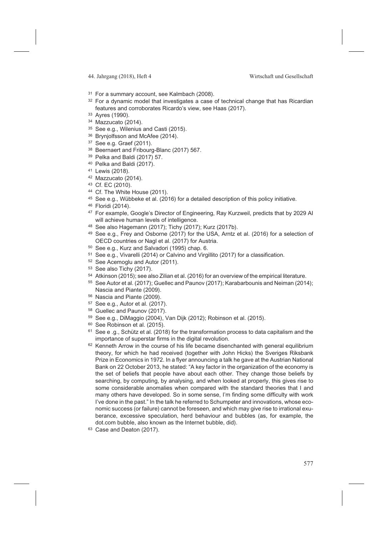- <sup>31</sup> For a summary account, see Kalmbach (2008).
- <sup>32</sup> For a dynamic model that investigates a case of technical change that has Ricardian features and corroborates Ricardo's view, see Haas (2017).
- <sup>33</sup> Ayres (1990).
- <sup>34</sup> Mazzucato (2014).
- <sup>35</sup> See e.g., Wilenius and Casti (2015).
- 36 Brynjolfsson and McAfee (2014).
- <sup>37</sup> See e.g. Graef (2011).
- <sup>38</sup> Beernaert and Fribourg-Blanc (2017) 567.
- <sup>39</sup> Pelka and Baldi (2017) 57.
- <sup>40</sup> Pelka and Baldi (2017).
- <sup>41</sup> Lewis (2018).
- <sup>42</sup> Mazzucato (2014).
- <sup>43</sup> Cf. EC (2010).
- <sup>44</sup> Cf. The White House (2011).
- <sup>45</sup> See e.g., Wübbeke et al. (2016) for a detailed description of this policy initiative.
- <sup>46</sup> Floridi (2014).
- 47 For example, Google's Director of Engineering, Ray Kurzweil, predicts that by 2029 Al will achieve human levels of intelligence.
- <sup>48</sup> See also Hagemann (2017); Tichy (2017); Kurz (2017b).
- <sup>49</sup> See e.g., Frey and Osborne (2017) for the USA, Arntz et al. (2016) for a selection of OECD countries or Nagl et al. (2017) for Austria.
- <sup>50</sup> See e.g., Kurz and Salvadori (1995) chap. 6.
- <sup>51</sup> See e.g., Vivarelli (2014) or Calvino and Virgillito (2017) for a classification.
- <sup>52</sup> See Acemoglu and Autor (2011).
- <sup>53</sup> See also Tichy (2017).
- <sup>54</sup> Atkinson (2015); see also Zilian et al. (2016) for an overview of the empirical literature.
- <sup>55</sup> See Autor et al. (2017); Guellec and Paunov (2017); Karabarbounis and Neiman (2014); Nascia and Piante (2009).
- <sup>56</sup> Nascia and Piante (2009).
- <sup>57</sup> See e.g., Autor et al. (2017).
- <sup>58</sup> Guellec and Paunov (2017).
- <sup>59</sup> See e.g., DiMaggio (2004), Van Dijk (2012); Robinson et al. (2015).
- <sup>60</sup> See Robinson et al. (2015).
- $61$  See e .g., Schütz et al. (2018) for the transformation process to data capitalism and the importance of superstar firms in the digital revolution.
- $62$  Kenneth Arrow in the course of his life became disenchanted with general equilibrium theory, for which he had received (together with John Hicks) the Sveriges Riksbank Prize in Economics in 1972. In a flyer announcing a talk he gave at the Austrian National Bank on 22 October 2013, he stated: "A key factor in the organization of the economy is the set of beliefs that people have about each other. They change those beliefs by searching, by computing, by analysing, and when looked at properly, this gives rise to some considerable anomalies when compared with the standard theories that I and many others have developed. So in some sense, I'm finding some difficulty with work I've done in the past." In the talk he referred to Schumpeter and innovations, whose economic success (or failure) cannot be foreseen, and which may give rise to irrational exuberance, excessive speculation, herd behaviour and bubbles (as, for example, the dot.com bubble, also known as the Internet bubble, did).
- <sup>63</sup> Case and Deaton (2017).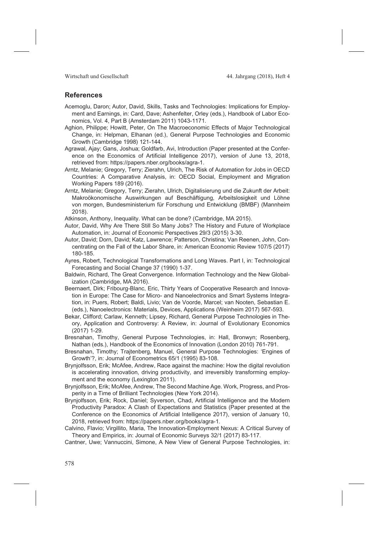Wirtschaft und Gesellschaft 144. Jahrgang (2018), Heft 4

### **References**

- Acemoglu, Daron; Autor, David, Skills, Tasks and Technologies: Implications for Employment and Earnings, in: Card, Dave; Ashenfelter, Orley (eds.), Handbook of Labor Economics, Vol. 4, Part B (Amsterdam 2011) 1043-1171.
- Aghion, Philippe; Howitt, Peter, On The Macroeconomic Effects of Major Technological Change, in: Helpman, Elhanan (ed.), General Purpose Technologies and Economic Growth (Cambridge 1998) 121-144.
- Agrawal, Ajay; Gans, Joshua; Goldfarb, Avi, Introduction (Paper presented at the Conference on the Economics of Artificial Intelligence 2017), version of June 13, 2018, retrieved from: https://papers.nber.org/books/agra-1.
- Arntz, Melanie; Gregory, Terry; Zierahn, Ulrich, The Risk of Automation for Jobs in OECD Countries: A Comparative Analysis, in: OECD Social, Employment and Migration Working Papers 189 (2016).
- Arntz, Melanie; Gregory, Terry; Zierahn, Ulrich, Digitalisierung und die Zukunft der Arbeit: Makroökonomische Auswirkungen auf Beschäftigung, Arbeitslosigkeit und Löhne von morgen, Bundesministerium für Forschung und Entwicklung (BMBF) (Mannheim 2018).
- Atkinson, Anthony, Inequality. What can be done? (Cambridge, MA 2015).
- Autor, David, Why Are There Still So Many Jobs? The History and Future of Workplace Automation, in: Journal of Economic Perspectives 29/3 (2015) 3-30.
- Autor, David; Dorn, David; Katz, Lawrence; Patterson, Christina; Van Reenen, John, Concentrating on the Fall of the Labor Share, in: American Economic Review 107/5 (2017) 180-185.
- Ayres, Robert, Technological Transformations and Long Waves. Part I, in: Technological Forecasting and Social Change 37 (1990) 1-37.
- Baldwin, Richard, The Great Convergence. Information Technology and the New Globalization (Cambridge, MA 2016).
- Beernaert, Dirk; Fribourg-Blanc, Eric, Thirty Years of Cooperative Research and Innovation in Europe: The Case for Micro- and Nanoelectronics and Smart Systems Integration, in: Puers, Robert; Baldi, Livio; Van de Voorde, Marcel; van Nooten, Sebastian E. (eds.), Nanoelectronics: Materials, Devices, Applications (Weinheim 2017) 567-593.
- Bekar, Clifford; Carlaw, Kenneth; Lipsey, Richard, General Purpose Technologies in Theory, Application and Controversy: A Review, in: Journal of Evolutionary Economics (2017) 1-29.
- Bresnahan, Timothy, General Purpose Technologies, in: Hall, Bronwyn; Rosenberg, Nathan (eds.), Handbook of the Economics of Innovation (London 2010) 761-791.
- Bresnahan, Timothy; Trajtenberg, Manuel, General Purpose Technologies: 'Engines of Growth'?, in: Journal of Econometrics 65/1 (1995) 83-108.
- Brynjolfsson, Erik; McAfee, Andrew, Race against the machine: How the digital revolution is accelerating innovation, driving productivity, and irreversibly transforming employment and the economy (Lexington 2011).
- Brynjolfsson, Erik; McAfee, Andrew, The Second Machine Age. Work, Progress, and Prosperity in a Time of Brilliant Technologies (New York 2014).
- Brynjolfsson, Erik; Rock, Daniel; Syverson, Chad, Artificial Intelligence and the Modern Productivity Paradox: A Clash of Expectations and Statistics (Paper presented at the Conference on the Economics of Artificial Intelligence 2017), version of January 10, 2018, retrieved from: https://papers.nber.org/books/agra-1.
- Calvino, Flavio; Virgillito, Maria, The Innovation-Employment Nexus: A Critical Survey of Theory and Empirics, in: Journal of Economic Surveys 32/1 (2017) 83-117.

Cantner, Uwe; Vannuccini, Simone, A New View of General Purpose Technologies, in: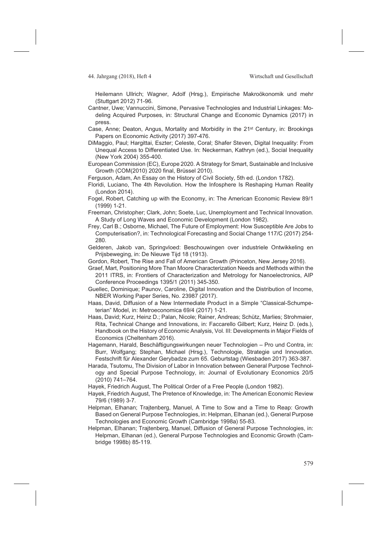Heilemann Ullrich; Wagner, Adolf (Hrsg.), Empirische Makroökonomik und mehr (Stuttgart 2012) 71-96.

- Cantner, Uwe; Vannuccini, Simone, Pervasive Technologies and Industrial Linkages: Modeling Acquired Purposes, in: Structural Change and Economic Dynamics (2017) in press.
- Case, Anne; Deaton, Angus, Mortality and Morbidity in the 21st Century, in: Brookings Papers on Economic Activity (2017) 397-476.
- DiMaggio, Paul; Hargittai, Eszter; Celeste, Coral; Shafer Steven, Digital Inequality: From Unequal Access to Differentiated Use. In: Neckerman, Kathryn (ed.), Social Inequality (New York 2004) 355-400.
- European Commission (EC), Europe 2020. A Strategy for Smart, Sustainable and Inclusive Growth (COM(2010) 2020 final, Brüssel 2010).
- Ferguson, Adam, An Essay on the History of Civil Society, 5th ed. (London 1782).
- Floridi, Luciano, The 4th Revolution. How the Infosphere Is Reshaping Human Reality (London 2014).
- Fogel, Robert, Catching up with the Economy, in: The American Economic Review 89/1 (1999) 1-21.
- Freeman, Christopher; Clark, John; Soete, Luc, Unemployment and Technical Innovation. A Study of Long Waves and Economic Development (London 1982).
- Frey, Carl B.; Osborne, Michael, The Future of Employment: How Susceptible Are Jobs to Computerisation?, in: Technological Forecasting and Social Change 117/C (2017) 254- 280.
- Gelderen, Jakob van, Springvloed: Beschouwingen over industriele Ontwikkeling en Prijsbeweging, in: De Nieuwe Tijd 18 (1913).
- Gordon, Robert, The Rise and Fall of American Growth (Princeton, New Jersey 2016).
- Graef, Mart, Positioning More Than Moore Characterization Needs and Methods within the 2011 ITRS, in: Frontiers of Characterization and Metrology for Nanoelectronics, AIP Conference Proceedings 1395/1 (2011) 345-350.
- Guellec, Dominique; Paunov, Caroline, Digital Innovation and the Distribution of Income, NBER Working Paper Series, No. 23987 (2017).
- Haas, David, Diffusion of a New Intermediate Product in a Simple "Classical-Schumpeterian" Model, in: Metroeconomica 69/4 (2017) 1-21.
- Haas, David; Kurz, Heinz D.; Palan, Nicole; Rainer, Andreas; Schütz, Marlies; Strohmaier, Rita, Technical Change and Innovations, in: Faccarello Gilbert; Kurz, Heinz D. (eds.), Handbook on the History of Economic Analysis, Vol. III: Developments in Major Fields of Economics (Cheltenham 2016).
- Hagemann, Harald, Beschäftigungswirkungen neuer Technologien Pro und Contra, in: Burr, Wolfgang; Stephan, Michael (Hrsg.), Technologie, Strategie und Innovation. Festschrift für Alexander Gerybadze zum 65. Geburtstag (Wiesbaden 2017) 363-387.
- Harada, Tsutomu, The Division of Labor in Innovation between General Purpose Technology and Special Purpose Technology, in: Journal of Evolutionary Economics 20/5 (2010) 741–764.
- Hayek, Friedrich August, The Political Order of a Free People (London 1982).
- Hayek, Friedrich August, The Pretence of Knowledge, in: The American Economic Review 79/6 (1989) 3-7.
- Helpman, Elhanan; Trajtenberg, Manuel, A Time to Sow and a Time to Reap: Growth Based on General Purpose Technologies, in: Helpman, Elhanan (ed.), General Purpose Technologies and Economic Growth (Cambridge 1998a) 55-83.
- Helpman, Elhanan; Trajtenberg, Manuel, Diffusion of General Purpose Technologies, in: Helpman, Elhanan (ed.), General Purpose Technologies and Economic Growth (Cambridge 1998b) 85-119.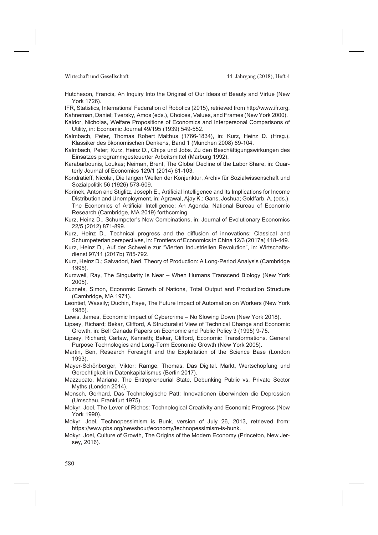Wirtschaft und Gesellschaft 144. Jahrgang (2018), Heft 4

Hutcheson, Francis, An Inquiry Into the Original of Our Ideas of Beauty and Virtue (New York 1726).

IFR, Statistics, International Federation of Robotics (2015), retrieved from http://www.ifr.org. Kahneman, Daniel; Tversky, Amos (eds.), Choices, Values, and Frames (New York 2000).

- Kaldor, Nicholas, Welfare Propositions of Economics and Interpersonal Comparisons of Utility, in: Economic Journal 49/195 (1939) 549-552.
- Kalmbach, Peter, Thomas Robert Malthus (1766-1834), in: Kurz, Heinz D. (Hrsg.), Klassiker des ökonomischen Denkens, Band 1 (München 2008) 89-104.

Kalmbach, Peter; Kurz, Heinz D., Chips und Jobs. Zu den Beschäftigungswirkungen des Einsatzes programmgesteuerter Arbeitsmittel (Marburg 1992).

Karabarbounis, Loukas; Neiman, Brent, The Global Decline of the Labor Share, in: Quarterly Journal of Economics 129/1 (2014) 61-103.

- Kondratieff, Nicolai, Die langen Wellen der Konjunktur, Archiv für Sozialwissenschaft und Sozialpolitik 56 (1926) 573-609.
- Korinek, Anton and Stiglitz, Joseph E., Artificial Intelligence and Its Implications for Income Distribution and Unemployment, in: Agrawal, Ajay K.; Gans, Joshua; Goldfarb, A. (eds.), The Economics of Artificial Intelligence: An Agenda, National Bureau of Economic Research (Cambridge, MA 2019) forthcoming.
- Kurz, Heinz D., Schumpeter's New Combinations, in: Journal of Evolutionary Economics 22/5 (2012) 871-899.
- Kurz, Heinz D., Technical progress and the diffusion of innovations: Classical and Schumpeterian perspectives, in: Frontiers of Economics in China 12/3 (2017a) 418-449.
- Kurz, Heinz D., Auf der Schwelle zur "Vierten Industriellen Revolution", in: Wirtschaftsdienst 97/11 (2017b) 785-792.
- Kurz, Heinz D.; Salvadori, Neri, Theory of Production: A Long-Period Analysis (Cambridge 1995).
- Kurzweil, Ray, The Singularity Is Near When Humans Transcend Biology (New York 2005).
- Kuznets, Simon, Economic Growth of Nations, Total Output and Production Structure (Cambridge, MA 1971).
- Leontief, Wassily; Duchin, Faye, The Future Impact of Automation on Workers (New York 1986).

Lewis, James, Economic Impact of Cybercrime – No Slowing Down (New York 2018).

- Lipsey, Richard; Bekar, Clifford, A Structuralist View of Technical Change and Economic Growth, in: Bell Canada Papers on Economic and Public Policy 3 (1995) 9-75.
- Lipsey, Richard; Carlaw, Kenneth; Bekar, Clifford, Economic Transformations. General Purpose Technologies and Long-Term Economic Growth (New York 2005).
- Martin, Ben, Research Foresight and the Exploitation of the Science Base (London 1993).
- Mayer-Schönberger, Viktor; Ramge, Thomas, Das Digital. Markt, Wertschöpfung und Gerechtigkeit im Datenkapitalismus (Berlin 2017).
- Mazzucato, Mariana, The Entrepreneurial State, Debunking Public vs. Private Sector Myths (London 2014).
- Mensch, Gerhard, Das Technologische Patt: Innovationen überwinden die Depression (Umschau, Frankfurt 1975).
- Mokyr, Joel, The Lever of Riches: Technological Creativity and Economic Progress (New York 1990).

Mokyr, Joel, Technopessimism is Bunk, version of July 26, 2013, retrieved from: https://www.pbs.org/newshour/economy/technopessimism-is-bunk.

Mokyr, Joel, Culture of Growth, The Origins of the Modern Economy (Princeton, New Jersey, 2016).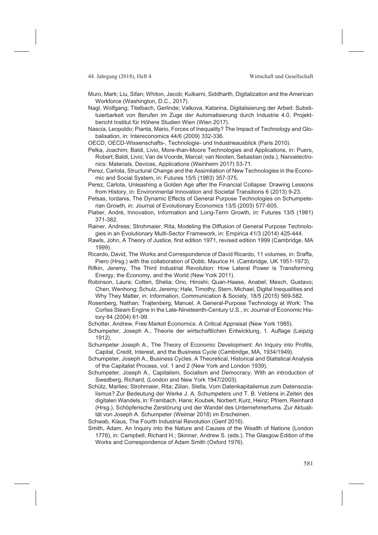- Muro, Mark; Liu, Sifan; Whiton, Jacob; Kulkarni, Siddharth, Digitalization and the American Workforce (Washington, D.C., 2017).
- Nagl, Wolfgang; Titelbach, Gerlinde; Valkova, Katarina, Digitalisierung der Arbeit: Substituierbarkeit von Berufen im Zuge der Automatisierung durch Industrie 4.0, Projektbericht Institut für Höhere Studien Wien (Wien 2017).
- Nascia, Leopoldo; Pianta, Mario, Forces of Inequality? The Impact of Technology and Globalisation, in: Intereconomics 44/6 (2009) 332-336.

OECD, OECD-Wissenschafts-, Technologie- und Industrieausblick (Paris 2010).

- Pelka, Joachim; Baldi, Livio, More-than-Moore Technologies and Applications, in: Puers, Robert; Baldi, Livio; Van de Voorde, Marcel; van Nooten, Sebastian (eds.), Nanoelectronics: Materials, Devices, Applications (Weinheim 2017) 53-71.
- Perez, Carlota, Structural Change and the Assimilation of New Technologies in the Economic and Social System, in: Futures 15/5 (1983) 357-375.
- Perez, Carlota, Unleashing a Golden Age after the Financial Collapse: Drawing Lessons from History, in: Environmental Innovation and Societal Transitions 6 (2013) 9-23.
- Petsas, Iordanis, The Dynamic Effects of General Purpose Technologies on Schumpeterian Growth, in: Journal of Evolutionary Economics 13/5 (2003) 577-605.
- Piatier, André, Innovation, Information and Long-Term Growth, in: Futures 13/5 (1981) 371-382.
- Rainer, Andreas; Strohmaier, Rita, Modeling the Diffusion of General Purpose Technologies in an Evolutionary Multi-Sector Framework, in: Empirica 41/3 (2014) 425-444.
- Rawls, John, A Theory of Justice, first edition 1971, revised edition 1999 (Cambridge, MA 1999).
- Ricardo, David, The Works and Correspondence of David Ricardo, 11 volumes, in: Sraffa, Piero (Hrsg.) with the collaboration of Dobb, Maurice H. (Cambridge, UK 1951-1973).
- Rifkin, Jeremy, The Third Industrial Revolution: How Lateral Power is Transforming Energy, the Economy, and the World (New York 2011).
- Robinson, Laura; Cotten, Shelia; Ono, Hiroshi; Quan-Haase, Anabel; Mesch, Gustavo; Chen, Wenhong; Schulz, Jeremy; Hale, Timothy; Stern, Michael, Digital Inequalities and Why They Matter, in: Information, Communication & Society, 18/5 (2015) 569-582.
- Rosenberg, Nathan; Trajtenberg, Manuel, A General-Purpose Technology at Work: The Corliss Steam Engine in the Late-Nineteenth-Century U.S., in: Journal of Economic History 64 (2004) 61-99.
- Schotter, Andrew, Free Market Economics. A Critical Appraisal (New York 1985).
- Schumpeter, Joseph A., Theorie der wirtschaftlichen Entwicklung, 1. Auflage (Leipzig 1912).
- Schumpeter Joseph A., The Theory of Economic Development: An Inquiry into Profits, Capital, Credit, Interest, and the Business Cycle (Cambridge, MA, 1934/1949).
- Schumpeter, Joseph A., Business Cycles. A Theoretical, Historical and Statistical Analysis of the Capitalist Process, vol. 1 and 2 (New York and London 1939).
- Schumpeter, Joseph A., Capitalism, Socialism and Democracy, With an introduction of Swedberg, Richard, (London and New York 1947/2003).
- Schütz, Marlies; Strohmaier, Rita; Zilian, Stella, Vom Datenkapitalismus zum Datensozialismus? Zur Bedeutung der Werke J. A. Schumpeters und T. B. Veblens in Zeiten des digitalen Wandels, in: Frambach, Hans; Koubek, Norbert; Kurz, Heinz; Pfriem, Reinhard (Hrsg.), Schöpferische Zerstörung und der Wandel des Unternehmertums. Zur Aktualität von Joseph A. Schumpeter (Weimar 2018) im Erscheinen.

Schwab, Klaus, The Fourth Industrial Revolution (Genf 2016).

Smith, Adam, An Inquiry into the Nature and Causes of the Wealth of Nations (London 1776), in: Campbell, Richard H.; Skinner, Andrew S. (eds.), The Glasgow Edition of the Works and Correspondence of Adam Smith (Oxford 1976).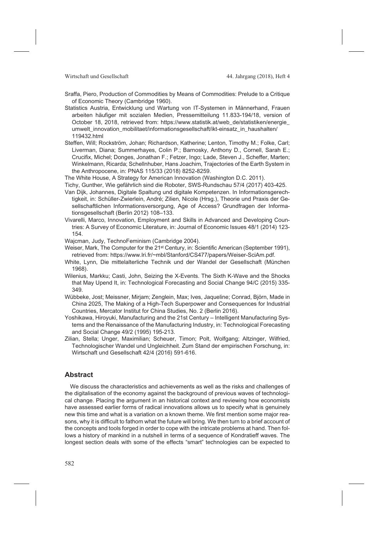#### Wirtschaft und Gesellschaft 144. Jahrgang (2018), Heft 4

- Sraffa, Piero, Production of Commodities by Means of Commodities: Prelude to a Critique of Economic Theory (Cambridge 1960).
- Statistics Austria, Entwicklung und Wartung von IT-Systemen in Männerhand, Frauen arbeiten häufiger mit sozialen Medien, Pressemitteilung 11.833-194/18, version of October 18, 2018, retrieved from: https://www.statistik.at/web\_de/statistiken/energie\_ umwelt\_innovation\_mobilitaet/informationsgesellschaft/ikt-einsatz\_in\_haushalten/ 119432.html
- Steffen, Will; Rockström, Johan; Richardson, Katherine; Lenton, Timothy M.; Folke, Carl; Liverman, Diana; Summerhayes, Colin P.; Barnosky, Anthony D., Cornell, Sarah E.; Crucifix, Michel; Donges, Jonathan F.; Fetzer, Ingo; Lade, Steven J., Scheffer, Marten; Winkelmann, Ricarda; Schellnhuber, Hans Joachim, Trajectories of the Earth System in the Anthropocene, in: PNAS 115/33 (2018) 8252-8259.

The White House, A Strategy for American Innovation (Washington D.C. 2011).

- Tichy, Gunther, Wie gefährlich sind die Roboter, SWS-Rundschau 57/4 (2017) 403-425.
- Van Dijk, Johannes, Digitale Spaltung und digitale Kompetenzen. In Informationsgerechtigkeit, in: Schüller-Zwierlein, André; Zilien, Nicole (Hrsg.), Theorie und Praxis der Gesellschaftlichen Informationsversorgung, Age of Access? Grundfragen der Informationsgesellschaft (Berlin 2012) 108–133.
- Vivarelli, Marco, Innovation, Employment and Skills in Advanced and Developing Countries: A Survey of Economic Literature, in: Journal of Economic Issues 48/1 (2014) 123- 154.
- Wajcman, Judy, TechnoFeminism (Cambridge 2004).
- Weiser, Mark, The Computer for the 21st Century, in: Scientific American (September 1991), retrieved from: https://www.lri.fr/~mbl/Stanford/CS477/papers/Weiser-SciAm.pdf.
- White, Lynn, Die mittelalterliche Technik und der Wandel der Gesellschaft (München 1968).
- Wilenius, Markku; Casti, John, Seizing the X-Events. The Sixth K-Wave and the Shocks that May Upend It, in: Technological Forecasting and Social Change 94/C (2015) 335- 349.
- Wübbeke, Jost; Meissner, Mirjam; Zenglein, Max; Ives, Jaqueline; Conrad, Björn, Made in China 2025, The Making of a High-Tech Superpower and Consequences for Industrial Countries, Mercator Institut for China Studies, No. 2 (Berlin 2016).
- Yoshikawa, Hiroyuki, Manufacturing and the 21st Century Intelligent Manufacturing Systems and the Renaissance of the Manufacturing Industry, in: Technological Forecasting and Social Change 49/2 (1995) 195-213.
- Zilian, Stella; Unger, Maximilian; Scheuer, Timon; Polt, Wolfgang; Altzinger, Wilfried, Technologischer Wandel und Ungleichheit. Zum Stand der empirischen Forschung, in: Wirtschaft und Gesellschaft 42/4 (2016) 591-616.

# **Abstract**

We discuss the characteristics and achievements as well as the risks and challenges of the digitalisation of the economy against the background of previous waves of technological change. Placing the argument in an historical context and reviewing how economists have assessed earlier forms of radical innovations allows us to specify what is genuinely new this time and what is a variation on a known theme. We first mention some major reasons, why it is difficult to fathom what the future will bring. We then turn to a brief account of the concepts and tools forged in order to cope with the intricate problems at hand. Then follows a history of mankind in a nutshell in terms of a sequence of Kondratieff waves. The longest section deals with some of the effects "smart" technologies can be expected to